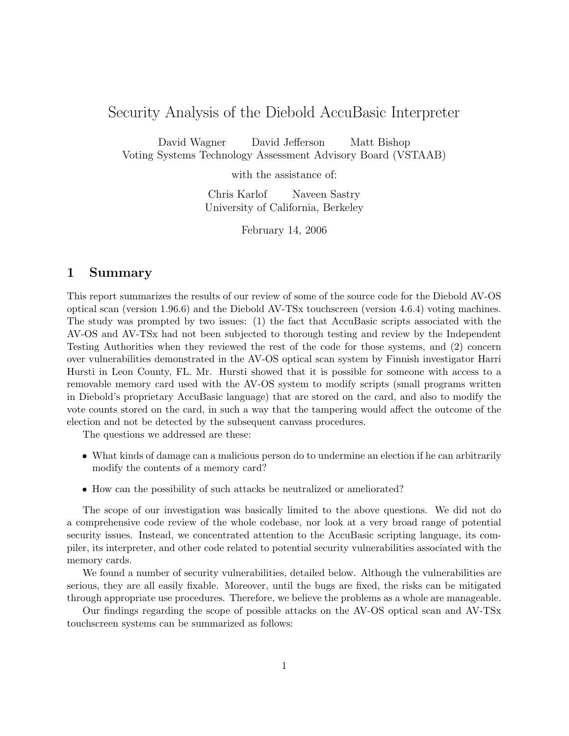# Security Analysis of the Diebold AccuBasic Interpreter

David Wagner David Jefferson Matt Bishop Voting Systems Technology Assessment Advisory Board (VSTAAB)

with the assistance of:

Chris Karlof Naveen Sastry University of California, Berkeley

February 14, 2006

# 1 Summary

This report summarizes the results of our review of some of the source code for the Diebold AV-OS optical scan (version 1.96.6) and the Diebold AV-TSx touchscreen (version 4.6.4) voting machines. The study was prompted by two issues: (1) the fact that AccuBasic scripts associated with the AV-OS and AV-TSx had not been subjected to thorough testing and review by the Independent Testing Authorities when they reviewed the rest of the code for those systems, and (2) concern over vulnerabilities demonstrated in the AV-OS optical scan system by Finnish investigator Harri Hursti in Leon County, FL. Mr. Hursti showed that it is possible for someone with access to a removable memory card used with the AV-OS system to modify scripts (small programs written in Diebold's proprietary AccuBasic language) that are stored on the card, and also to modify the vote counts stored on the card, in such a way that the tampering would affect the outcome of the election and not be detected by the subsequent canvass procedures.

The questions we addressed are these:

- What kinds of damage can a malicious person do to undermine an election if he can arbitrarily modify the contents of a memory card?
- How can the possibility of such attacks be neutralized or ameliorated?

The scope of our investigation was basically limited to the above questions. We did not do a comprehensive code review of the whole codebase, nor look at a very broad range of potential security issues. Instead, we concentrated attention to the AccuBasic scripting language, its compiler, its interpreter, and other code related to potential security vulnerabilities associated with the memory cards.

We found a number of security vulnerabilities, detailed below. Although the vulnerabilities are serious, they are all easily fixable. Moreover, until the bugs are fixed, the risks can be mitigated through appropriate use procedures. Therefore, we believe the problems as a whole are manageable.

Our findings regarding the scope of possible attacks on the AV-OS optical scan and AV-TSx touchscreen systems can be summarized as follows: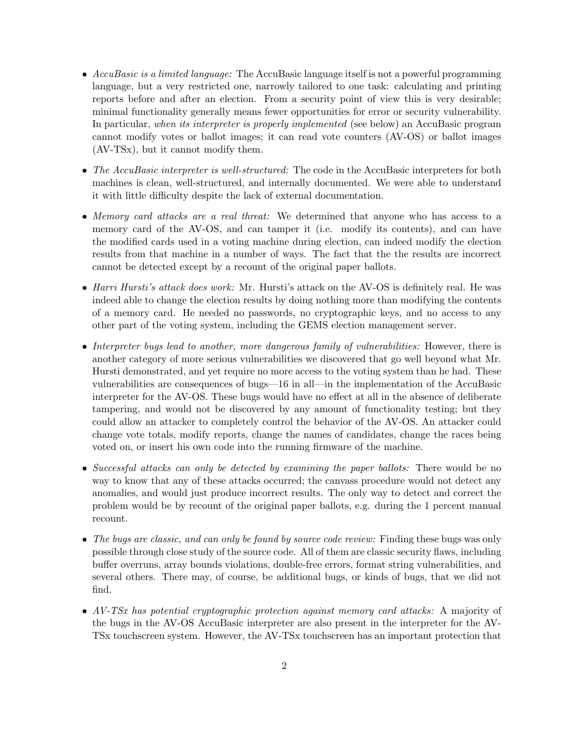- AccuBasic is a limited language: The AccuBasic language itself is not a powerful programming language, but a very restricted one, narrowly tailored to one task: calculating and printing reports before and after an election. From a security point of view this is very desirable; minimal functionality generally means fewer opportunities for error or security vulnerability. In particular, when its interpreter is properly implemented (see below) an AccuBasic program cannot modify votes or ballot images; it can read vote counters (AV-OS) or ballot images (AV-TSx), but it cannot modify them.
- The AccuBasic interpreter is well-structured: The code in the AccuBasic interpreters for both machines is clean, well-structured, and internally documented. We were able to understand it with little difficulty despite the lack of external documentation.
- Memory card attacks are a real threat: We determined that anyone who has access to a memory card of the AV-OS, and can tamper it (i.e. modify its contents), and can have the modified cards used in a voting machine during election, can indeed modify the election results from that machine in a number of ways. The fact that the the results are incorrect cannot be detected except by a recount of the original paper ballots.
- Harri Hursti's attack does work: Mr. Hursti's attack on the AV-OS is definitely real. He was indeed able to change the election results by doing nothing more than modifying the contents of a memory card. He needed no passwords, no cryptographic keys, and no access to any other part of the voting system, including the GEMS election management server.
- Interpreter bugs lead to another, more dangerous family of vulnerabilities: However, there is another category of more serious vulnerabilities we discovered that go well beyond what Mr. Hursti demonstrated, and yet require no more access to the voting system than he had. These vulnerabilities are consequences of bugs—16 in all—in the implementation of the AccuBasic interpreter for the AV-OS. These bugs would have no effect at all in the absence of deliberate tampering, and would not be discovered by any amount of functionality testing; but they could allow an attacker to completely control the behavior of the AV-OS. An attacker could change vote totals, modify reports, change the names of candidates, change the races being voted on, or insert his own code into the running firmware of the machine.
- Successful attacks can only be detected by examining the paper ballots: There would be no way to know that any of these attacks occurred; the canvass procedure would not detect any anomalies, and would just produce incorrect results. The only way to detect and correct the problem would be by recount of the original paper ballots, e.g. during the 1 percent manual recount.
- The bugs are classic, and can only be found by source code review: Finding these bugs was only possible through close study of the source code. All of them are classic security flaws, including buffer overruns, array bounds violations, double-free errors, format string vulnerabilities, and several others. There may, of course, be additional bugs, or kinds of bugs, that we did not find.
- AV-TSx has potential cryptographic protection against memory card attacks: A majority of the bugs in the AV-OS AccuBasic interpreter are also present in the interpreter for the AV-TSx touchscreen system. However, the AV-TSx touchscreen has an important protection that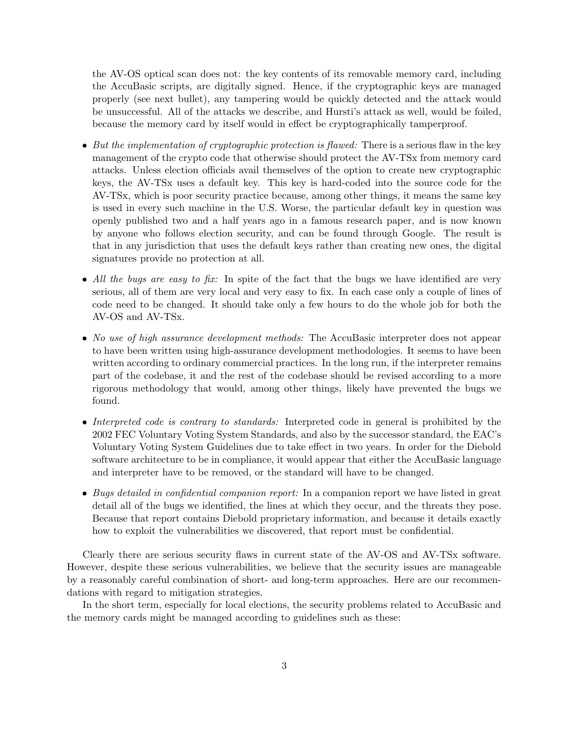the AV-OS optical scan does not: the key contents of its removable memory card, including the AccuBasic scripts, are digitally signed. Hence, if the cryptographic keys are managed properly (see next bullet), any tampering would be quickly detected and the attack would be unsuccessful. All of the attacks we describe, and Hursti's attack as well, would be foiled, because the memory card by itself would in effect be cryptographically tamperproof.

- But the implementation of cryptographic protection is flawed: There is a serious flaw in the key management of the crypto code that otherwise should protect the AV-TSx from memory card attacks. Unless election officials avail themselves of the option to create new cryptographic keys, the AV-TSx uses a default key. This key is hard-coded into the source code for the AV-TSx, which is poor security practice because, among other things, it means the same key is used in every such machine in the U.S. Worse, the particular default key in question was openly published two and a half years ago in a famous research paper, and is now known by anyone who follows election security, and can be found through Google. The result is that in any jurisdiction that uses the default keys rather than creating new ones, the digital signatures provide no protection at all.
- All the bugs are easy to fix: In spite of the fact that the bugs we have identified are very serious, all of them are very local and very easy to fix. In each case only a couple of lines of code need to be changed. It should take only a few hours to do the whole job for both the AV-OS and AV-TSx.
- No use of high assurance development methods: The AccuBasic interpreter does not appear to have been written using high-assurance development methodologies. It seems to have been written according to ordinary commercial practices. In the long run, if the interpreter remains part of the codebase, it and the rest of the codebase should be revised according to a more rigorous methodology that would, among other things, likely have prevented the bugs we found.
- Interpreted code is contrary to standards: Interpreted code in general is prohibited by the 2002 FEC Voluntary Voting System Standards, and also by the successor standard, the EAC's Voluntary Voting System Guidelines due to take effect in two years. In order for the Diebold software architecture to be in compliance, it would appear that either the AccuBasic language and interpreter have to be removed, or the standard will have to be changed.
- Bugs detailed in confidential companion report: In a companion report we have listed in great detail all of the bugs we identified, the lines at which they occur, and the threats they pose. Because that report contains Diebold proprietary information, and because it details exactly how to exploit the vulnerabilities we discovered, that report must be confidential.

Clearly there are serious security flaws in current state of the AV-OS and AV-TSx software. However, despite these serious vulnerabilities, we believe that the security issues are manageable by a reasonably careful combination of short- and long-term approaches. Here are our recommendations with regard to mitigation strategies.

In the short term, especially for local elections, the security problems related to AccuBasic and the memory cards might be managed according to guidelines such as these: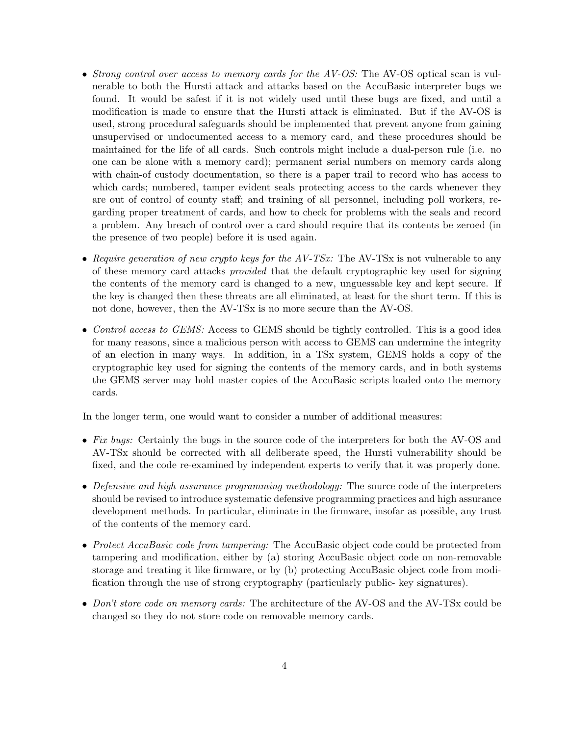- Strong control over access to memory cards for the AV-OS: The AV-OS optical scan is vulnerable to both the Hursti attack and attacks based on the AccuBasic interpreter bugs we found. It would be safest if it is not widely used until these bugs are fixed, and until a modification is made to ensure that the Hursti attack is eliminated. But if the AV-OS is used, strong procedural safeguards should be implemented that prevent anyone from gaining unsupervised or undocumented access to a memory card, and these procedures should be maintained for the life of all cards. Such controls might include a dual-person rule (i.e. no one can be alone with a memory card); permanent serial numbers on memory cards along with chain-of custody documentation, so there is a paper trail to record who has access to which cards; numbered, tamper evident seals protecting access to the cards whenever they are out of control of county staff; and training of all personnel, including poll workers, regarding proper treatment of cards, and how to check for problems with the seals and record a problem. Any breach of control over a card should require that its contents be zeroed (in the presence of two people) before it is used again.
- Require generation of new crypto keys for the  $AV-TSx$ : The AV-TSx is not vulnerable to any of these memory card attacks provided that the default cryptographic key used for signing the contents of the memory card is changed to a new, unguessable key and kept secure. If the key is changed then these threats are all eliminated, at least for the short term. If this is not done, however, then the AV-TSx is no more secure than the AV-OS.
- Control access to GEMS: Access to GEMS should be tightly controlled. This is a good idea for many reasons, since a malicious person with access to GEMS can undermine the integrity of an election in many ways. In addition, in a TSx system, GEMS holds a copy of the cryptographic key used for signing the contents of the memory cards, and in both systems the GEMS server may hold master copies of the AccuBasic scripts loaded onto the memory cards.

In the longer term, one would want to consider a number of additional measures:

- Fix bugs: Certainly the bugs in the source code of the interpreters for both the AV-OS and AV-TSx should be corrected with all deliberate speed, the Hursti vulnerability should be fixed, and the code re-examined by independent experts to verify that it was properly done.
- Defensive and high assurance programming methodology: The source code of the interpreters should be revised to introduce systematic defensive programming practices and high assurance development methods. In particular, eliminate in the firmware, insofar as possible, any trust of the contents of the memory card.
- Protect AccuBasic code from tampering: The AccuBasic object code could be protected from tampering and modification, either by (a) storing AccuBasic object code on non-removable storage and treating it like firmware, or by (b) protecting AccuBasic object code from modification through the use of strong cryptography (particularly public- key signatures).
- Don't store code on memory cards: The architecture of the AV-OS and the AV-TSx could be changed so they do not store code on removable memory cards.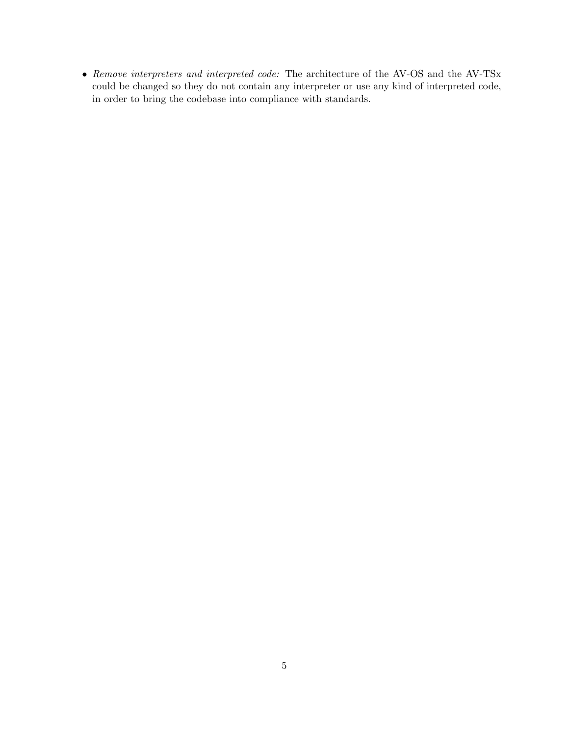$\bullet$   $Remove$   $interpreters$   $and$   $interpreted$   $code:$  The architecture of the AV-OS and the AV-TSx could be changed so they do not contain any interpreter or use any kind of interpreted code, in order to bring the codebase into compliance with standards.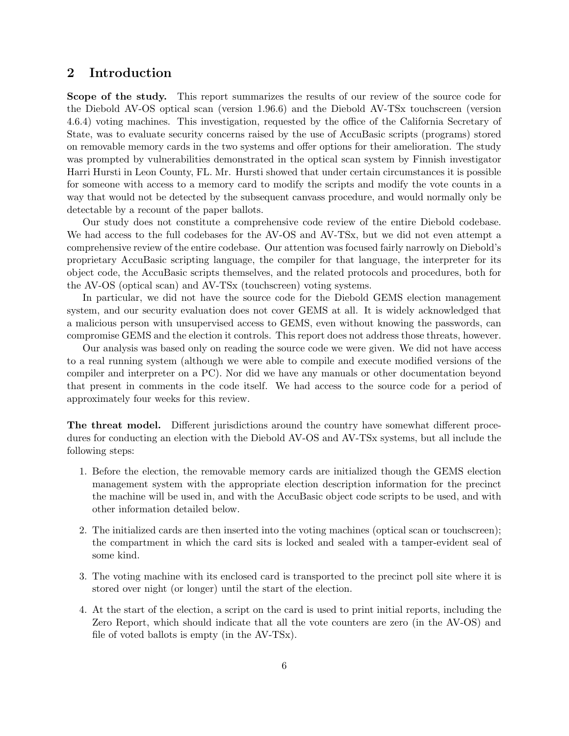## 2 Introduction

Scope of the study. This report summarizes the results of our review of the source code for the Diebold AV-OS optical scan (version 1.96.6) and the Diebold AV-TSx touchscreen (version 4.6.4) voting machines. This investigation, requested by the office of the California Secretary of State, was to evaluate security concerns raised by the use of AccuBasic scripts (programs) stored on removable memory cards in the two systems and offer options for their amelioration. The study was prompted by vulnerabilities demonstrated in the optical scan system by Finnish investigator Harri Hursti in Leon County, FL. Mr. Hursti showed that under certain circumstances it is possible for someone with access to a memory card to modify the scripts and modify the vote counts in a way that would not be detected by the subsequent canvass procedure, and would normally only be detectable by a recount of the paper ballots.

Our study does not constitute a comprehensive code review of the entire Diebold codebase. We had access to the full codebases for the AV-OS and AV-TSx, but we did not even attempt a comprehensive review of the entire codebase. Our attention was focused fairly narrowly on Diebold's proprietary AccuBasic scripting language, the compiler for that language, the interpreter for its object code, the AccuBasic scripts themselves, and the related protocols and procedures, both for the AV-OS (optical scan) and AV-TSx (touchscreen) voting systems.

In particular, we did not have the source code for the Diebold GEMS election management system, and our security evaluation does not cover GEMS at all. It is widely acknowledged that a malicious person with unsupervised access to GEMS, even without knowing the passwords, can compromise GEMS and the election it controls. This report does not address those threats, however.

Our analysis was based only on reading the source code we were given. We did not have access to a real running system (although we were able to compile and execute modified versions of the compiler and interpreter on a PC). Nor did we have any manuals or other documentation beyond that present in comments in the code itself. We had access to the source code for a period of approximately four weeks for this review.

The threat model. Different jurisdictions around the country have somewhat different procedures for conducting an election with the Diebold AV-OS and AV-TSx systems, but all include the following steps:

- 1. Before the election, the removable memory cards are initialized though the GEMS election management system with the appropriate election description information for the precinct the machine will be used in, and with the AccuBasic object code scripts to be used, and with other information detailed below.
- 2. The initialized cards are then inserted into the voting machines (optical scan or touchscreen); the compartment in which the card sits is locked and sealed with a tamper-evident seal of some kind.
- 3. The voting machine with its enclosed card is transported to the precinct poll site where it is stored over night (or longer) until the start of the election.
- 4. At the start of the election, a script on the card is used to print initial reports, including the Zero Report, which should indicate that all the vote counters are zero (in the AV-OS) and file of voted ballots is empty (in the AV-TSx).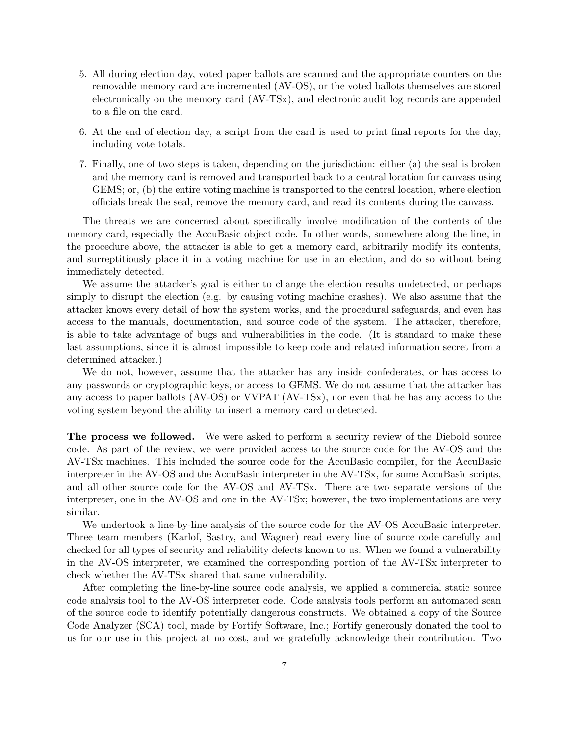- 5. All during election day, voted paper ballots are scanned and the appropriate counters on the removable memory card are incremented (AV-OS), or the voted ballots themselves are stored electronically on the memory card (AV-TSx), and electronic audit log records are appended to a file on the card.
- 6. At the end of election day, a script from the card is used to print final reports for the day, including vote totals.
- 7. Finally, one of two steps is taken, depending on the jurisdiction: either (a) the seal is broken and the memory card is removed and transported back to a central location for canvass using GEMS; or, (b) the entire voting machine is transported to the central location, where election officials break the seal, remove the memory card, and read its contents during the canvass.

The threats we are concerned about specifically involve modification of the contents of the memory card, especially the AccuBasic object code. In other words, somewhere along the line, in the procedure above, the attacker is able to get a memory card, arbitrarily modify its contents, and surreptitiously place it in a voting machine for use in an election, and do so without being immediately detected.

We assume the attacker's goal is either to change the election results undetected, or perhaps simply to disrupt the election (e.g. by causing voting machine crashes). We also assume that the attacker knows every detail of how the system works, and the procedural safeguards, and even has access to the manuals, documentation, and source code of the system. The attacker, therefore, is able to take advantage of bugs and vulnerabilities in the code. (It is standard to make these last assumptions, since it is almost impossible to keep code and related information secret from a determined attacker.)

We do not, however, assume that the attacker has any inside confederates, or has access to any passwords or cryptographic keys, or access to GEMS. We do not assume that the attacker has any access to paper ballots (AV-OS) or VVPAT (AV-TSx), nor even that he has any access to the voting system beyond the ability to insert a memory card undetected.

The process we followed. We were asked to perform a security review of the Diebold source code. As part of the review, we were provided access to the source code for the AV-OS and the AV-TSx machines. This included the source code for the AccuBasic compiler, for the AccuBasic interpreter in the AV-OS and the AccuBasic interpreter in the AV-TSx, for some AccuBasic scripts, and all other source code for the AV-OS and AV-TSx. There are two separate versions of the interpreter, one in the AV-OS and one in the AV-TSx; however, the two implementations are very similar.

We undertook a line-by-line analysis of the source code for the AV-OS AccuBasic interpreter. Three team members (Karlof, Sastry, and Wagner) read every line of source code carefully and checked for all types of security and reliability defects known to us. When we found a vulnerability in the AV-OS interpreter, we examined the corresponding portion of the AV-TSx interpreter to check whether the AV-TSx shared that same vulnerability.

After completing the line-by-line source code analysis, we applied a commercial static source code analysis tool to the AV-OS interpreter code. Code analysis tools perform an automated scan of the source code to identify potentially dangerous constructs. We obtained a copy of the Source Code Analyzer (SCA) tool, made by Fortify Software, Inc.; Fortify generously donated the tool to us for our use in this project at no cost, and we gratefully acknowledge their contribution. Two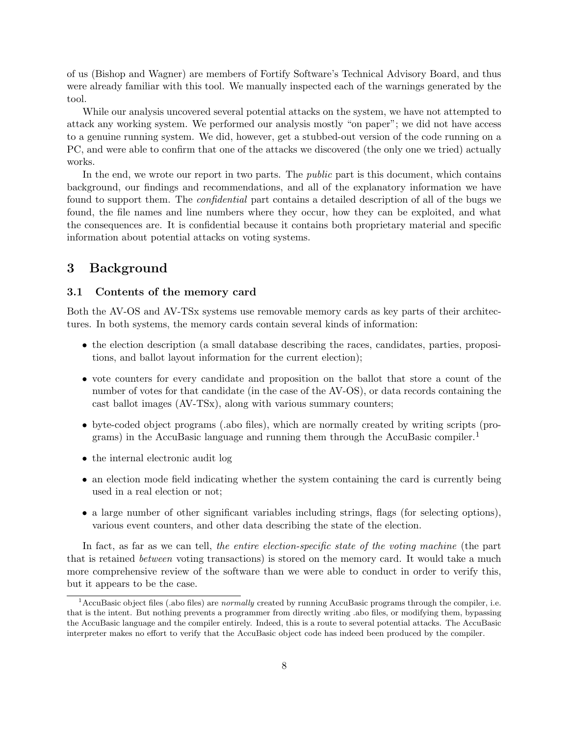of us (Bishop and Wagner) are members of Fortify Software's Technical Advisory Board, and thus were already familiar with this tool. We manually inspected each of the warnings generated by the tool.

While our analysis uncovered several potential attacks on the system, we have not attempted to attack any working system. We performed our analysis mostly "on paper"; we did not have access to a genuine running system. We did, however, get a stubbed-out version of the code running on a PC, and were able to confirm that one of the attacks we discovered (the only one we tried) actually works.

In the end, we wrote our report in two parts. The *public* part is this document, which contains background, our findings and recommendations, and all of the explanatory information we have found to support them. The confidential part contains a detailed description of all of the bugs we found, the file names and line numbers where they occur, how they can be exploited, and what the consequences are. It is confidential because it contains both proprietary material and specific information about potential attacks on voting systems.

## 3 Background

#### 3.1 Contents of the memory card

Both the AV-OS and AV-TSx systems use removable memory cards as key parts of their architectures. In both systems, the memory cards contain several kinds of information:

- the election description (a small database describing the races, candidates, parties, propositions, and ballot layout information for the current election);
- vote counters for every candidate and proposition on the ballot that store a count of the number of votes for that candidate (in the case of the AV-OS), or data records containing the cast ballot images (AV-TSx), along with various summary counters;
- byte-coded object programs (.abo files), which are normally created by writing scripts (programs) in the AccuBasic language and running them through the AccuBasic compiler.<sup>1</sup>
- the internal electronic audit log
- an election mode field indicating whether the system containing the card is currently being used in a real election or not;
- a large number of other significant variables including strings, flags (for selecting options), various event counters, and other data describing the state of the election.

In fact, as far as we can tell, the entire election-specific state of the voting machine (the part that is retained between voting transactions) is stored on the memory card. It would take a much more comprehensive review of the software than we were able to conduct in order to verify this, but it appears to be the case.

 $1$ AccuBasic object files (.abo files) are normally created by running AccuBasic programs through the compiler, i.e. that is the intent. But nothing prevents a programmer from directly writing .abo files, or modifying them, bypassing the AccuBasic language and the compiler entirely. Indeed, this is a route to several potential attacks. The AccuBasic interpreter makes no effort to verify that the AccuBasic object code has indeed been produced by the compiler.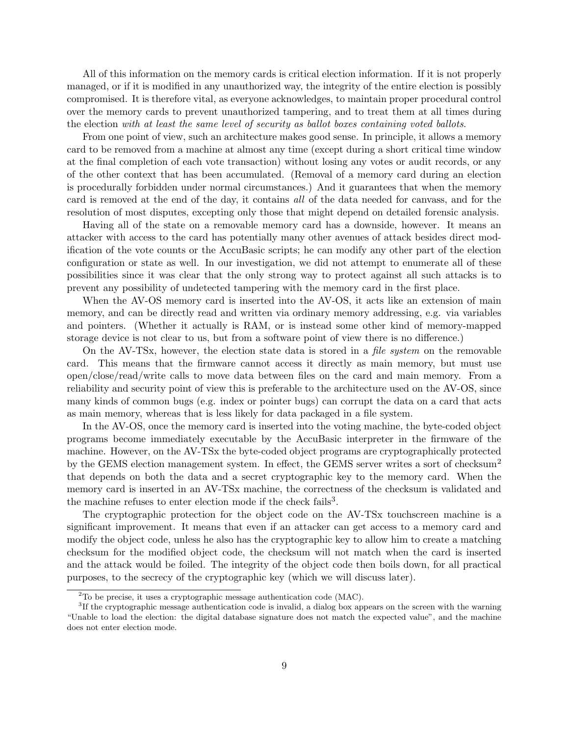All of this information on the memory cards is critical election information. If it is not properly managed, or if it is modified in any unauthorized way, the integrity of the entire election is possibly compromised. It is therefore vital, as everyone acknowledges, to maintain proper procedural control over the memory cards to prevent unauthorized tampering, and to treat them at all times during the election with at least the same level of security as ballot boxes containing voted ballots.

From one point of view, such an architecture makes good sense. In principle, it allows a memory card to be removed from a machine at almost any time (except during a short critical time window at the final completion of each vote transaction) without losing any votes or audit records, or any of the other context that has been accumulated. (Removal of a memory card during an election is procedurally forbidden under normal circumstances.) And it guarantees that when the memory card is removed at the end of the day, it contains all of the data needed for canvass, and for the resolution of most disputes, excepting only those that might depend on detailed forensic analysis.

Having all of the state on a removable memory card has a downside, however. It means an attacker with access to the card has potentially many other avenues of attack besides direct modification of the vote counts or the AccuBasic scripts; he can modify any other part of the election configuration or state as well. In our investigation, we did not attempt to enumerate all of these possibilities since it was clear that the only strong way to protect against all such attacks is to prevent any possibility of undetected tampering with the memory card in the first place.

When the AV-OS memory card is inserted into the AV-OS, it acts like an extension of main memory, and can be directly read and written via ordinary memory addressing, e.g. via variables and pointers. (Whether it actually is RAM, or is instead some other kind of memory-mapped storage device is not clear to us, but from a software point of view there is no difference.)

On the AV-TSx, however, the election state data is stored in a file system on the removable card. This means that the firmware cannot access it directly as main memory, but must use open/close/read/write calls to move data between files on the card and main memory. From a reliability and security point of view this is preferable to the architecture used on the AV-OS, since many kinds of common bugs (e.g. index or pointer bugs) can corrupt the data on a card that acts as main memory, whereas that is less likely for data packaged in a file system.

In the AV-OS, once the memory card is inserted into the voting machine, the byte-coded object programs become immediately executable by the AccuBasic interpreter in the firmware of the machine. However, on the AV-TSx the byte-coded object programs are cryptographically protected by the GEMS election management system. In effect, the GEMS server writes a sort of checksum<sup>2</sup> that depends on both the data and a secret cryptographic key to the memory card. When the memory card is inserted in an AV-TSx machine, the correctness of the checksum is validated and the machine refuses to enter election mode if the check fails<sup>3</sup>.

The cryptographic protection for the object code on the AV-TSx touchscreen machine is a significant improvement. It means that even if an attacker can get access to a memory card and modify the object code, unless he also has the cryptographic key to allow him to create a matching checksum for the modified object code, the checksum will not match when the card is inserted and the attack would be foiled. The integrity of the object code then boils down, for all practical purposes, to the secrecy of the cryptographic key (which we will discuss later).

<sup>2</sup>To be precise, it uses a cryptographic message authentication code (MAC).

<sup>&</sup>lt;sup>3</sup>If the cryptographic message authentication code is invalid, a dialog box appears on the screen with the warning "Unable to load the election: the digital database signature does not match the expected value", and the machine does not enter election mode.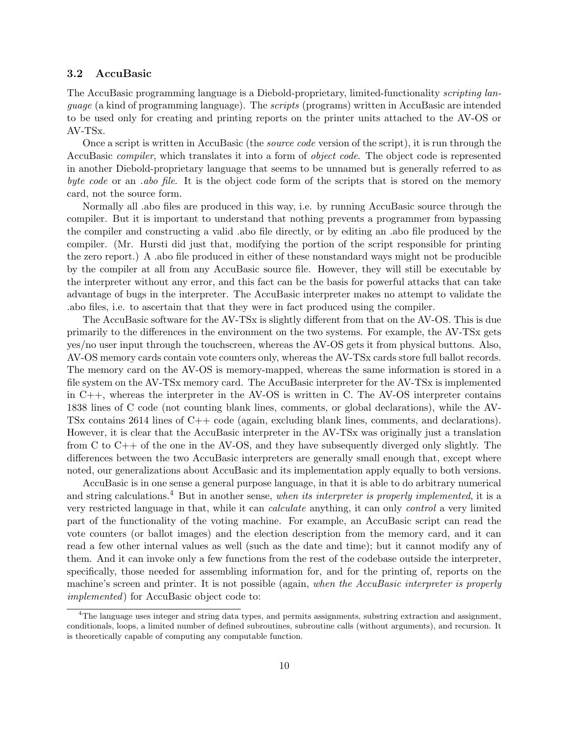#### 3.2 AccuBasic

The AccuBasic programming language is a Diebold-proprietary, limited-functionality scripting language (a kind of programming language). The scripts (programs) written in AccuBasic are intended to be used only for creating and printing reports on the printer units attached to the AV-OS or AV-TSx.

Once a script is written in AccuBasic (the *source code* version of the script), it is run through the AccuBasic compiler, which translates it into a form of object code. The object code is represented in another Diebold-proprietary language that seems to be unnamed but is generally referred to as byte code or an .abo file. It is the object code form of the scripts that is stored on the memory card, not the source form.

Normally all .abo files are produced in this way, i.e. by running AccuBasic source through the compiler. But it is important to understand that nothing prevents a programmer from bypassing the compiler and constructing a valid .abo file directly, or by editing an .abo file produced by the compiler. (Mr. Hursti did just that, modifying the portion of the script responsible for printing the zero report.) A .abo file produced in either of these nonstandard ways might not be producible by the compiler at all from any AccuBasic source file. However, they will still be executable by the interpreter without any error, and this fact can be the basis for powerful attacks that can take advantage of bugs in the interpreter. The AccuBasic interpreter makes no attempt to validate the .abo files, i.e. to ascertain that that they were in fact produced using the compiler.

The AccuBasic software for the AV-TSx is slightly different from that on the AV-OS. This is due primarily to the differences in the environment on the two systems. For example, the AV-TSx gets yes/no user input through the touchscreen, whereas the AV-OS gets it from physical buttons. Also, AV-OS memory cards contain vote counters only, whereas the AV-TSx cards store full ballot records. The memory card on the AV-OS is memory-mapped, whereas the same information is stored in a file system on the AV-TSx memory card. The AccuBasic interpreter for the AV-TSx is implemented in C++, whereas the interpreter in the AV-OS is written in C. The AV-OS interpreter contains 1838 lines of C code (not counting blank lines, comments, or global declarations), while the AV-TSx contains 2614 lines of  $C_{++}$  code (again, excluding blank lines, comments, and declarations). However, it is clear that the AccuBasic interpreter in the AV-TSx was originally just a translation from C to C++ of the one in the AV-OS, and they have subsequently diverged only slightly. The differences between the two AccuBasic interpreters are generally small enough that, except where noted, our generalizations about AccuBasic and its implementation apply equally to both versions.

AccuBasic is in one sense a general purpose language, in that it is able to do arbitrary numerical and string calculations.<sup>4</sup> But in another sense, when its interpreter is properly implemented, it is a very restricted language in that, while it can calculate anything, it can only control a very limited part of the functionality of the voting machine. For example, an AccuBasic script can read the vote counters (or ballot images) and the election description from the memory card, and it can read a few other internal values as well (such as the date and time); but it cannot modify any of them. And it can invoke only a few functions from the rest of the codebase outside the interpreter, specifically, those needed for assembling information for, and for the printing of, reports on the machine's screen and printer. It is not possible (again, when the AccuBasic interpreter is properly implemented) for AccuBasic object code to:

 ${}^{4}$ The language uses integer and string data types, and permits assignments, substring extraction and assignment, conditionals, loops, a limited number of defined subroutines, subroutine calls (without arguments), and recursion. It is theoretically capable of computing any computable function.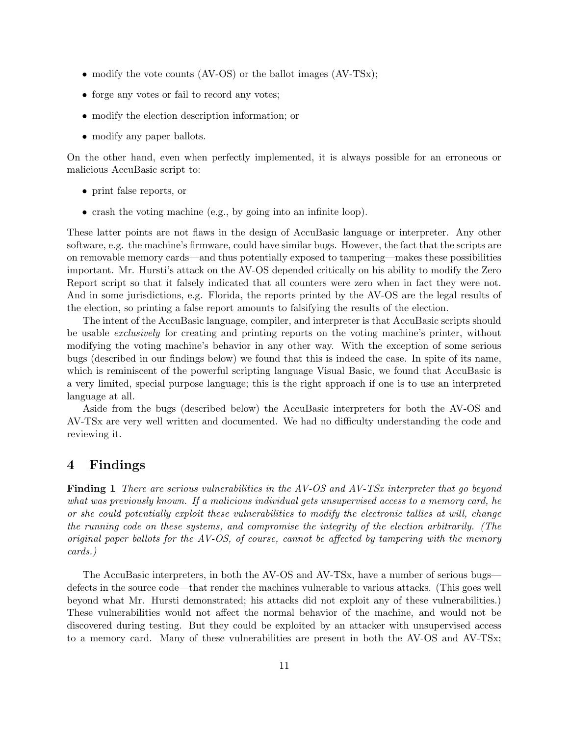- modify the vote counts (AV-OS) or the ballot images (AV-TSx);
- forge any votes or fail to record any votes;
- modify the election description information; or
- modify any paper ballots.

On the other hand, even when perfectly implemented, it is always possible for an erroneous or malicious AccuBasic script to:

- print false reports, or
- crash the voting machine (e.g., by going into an infinite loop).

These latter points are not flaws in the design of AccuBasic language or interpreter. Any other software, e.g. the machine's firmware, could have similar bugs. However, the fact that the scripts are on removable memory cards—and thus potentially exposed to tampering—makes these possibilities important. Mr. Hursti's attack on the AV-OS depended critically on his ability to modify the Zero Report script so that it falsely indicated that all counters were zero when in fact they were not. And in some jurisdictions, e.g. Florida, the reports printed by the AV-OS are the legal results of the election, so printing a false report amounts to falsifying the results of the election.

The intent of the AccuBasic language, compiler, and interpreter is that AccuBasic scripts should be usable exclusively for creating and printing reports on the voting machine's printer, without modifying the voting machine's behavior in any other way. With the exception of some serious bugs (described in our findings below) we found that this is indeed the case. In spite of its name, which is reminiscent of the powerful scripting language Visual Basic, we found that AccuBasic is a very limited, special purpose language; this is the right approach if one is to use an interpreted language at all.

Aside from the bugs (described below) the AccuBasic interpreters for both the AV-OS and AV-TSx are very well written and documented. We had no difficulty understanding the code and reviewing it.

## 4 Findings

Finding 1 There are serious vulnerabilities in the AV-OS and AV-TSx interpreter that go beyond what was previously known. If a malicious individual gets unsupervised access to a memory card, he or she could potentially exploit these vulnerabilities to modify the electronic tallies at will, change the running code on these systems, and compromise the integrity of the election arbitrarily. (The original paper ballots for the AV-OS, of course, cannot be affected by tampering with the memory cards.)

The AccuBasic interpreters, in both the AV-OS and AV-TSx, have a number of serious bugs defects in the source code—that render the machines vulnerable to various attacks. (This goes well beyond what Mr. Hursti demonstrated; his attacks did not exploit any of these vulnerabilities.) These vulnerabilities would not affect the normal behavior of the machine, and would not be discovered during testing. But they could be exploited by an attacker with unsupervised access to a memory card. Many of these vulnerabilities are present in both the AV-OS and AV-TSx;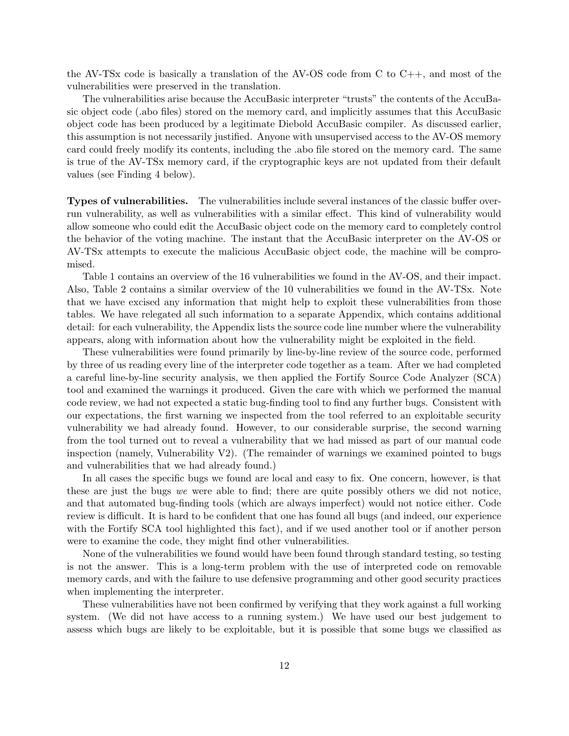the AV-TSx code is basically a translation of the AV-OS code from C to  $C_{++}$ , and most of the vulnerabilities were preserved in the translation.

The vulnerabilities arise because the AccuBasic interpreter "trusts" the contents of the AccuBasic object code (.abo files) stored on the memory card, and implicitly assumes that this AccuBasic object code has been produced by a legitimate Diebold AccuBasic compiler. As discussed earlier, this assumption is not necessarily justified. Anyone with unsupervised access to the AV-OS memory card could freely modify its contents, including the .abo file stored on the memory card. The same is true of the AV-TSx memory card, if the cryptographic keys are not updated from their default values (see Finding 4 below).

Types of vulnerabilities. The vulnerabilities include several instances of the classic buffer overrun vulnerability, as well as vulnerabilities with a similar effect. This kind of vulnerability would allow someone who could edit the AccuBasic object code on the memory card to completely control the behavior of the voting machine. The instant that the AccuBasic interpreter on the AV-OS or AV-TSx attempts to execute the malicious AccuBasic object code, the machine will be compromised.

Table 1 contains an overview of the 16 vulnerabilities we found in the AV-OS, and their impact. Also, Table 2 contains a similar overview of the 10 vulnerabilities we found in the AV-TSx. Note that we have excised any information that might help to exploit these vulnerabilities from those tables. We have relegated all such information to a separate Appendix, which contains additional detail: for each vulnerability, the Appendix lists the source code line number where the vulnerability appears, along with information about how the vulnerability might be exploited in the field.

These vulnerabilities were found primarily by line-by-line review of the source code, performed by three of us reading every line of the interpreter code together as a team. After we had completed a careful line-by-line security analysis, we then applied the Fortify Source Code Analyzer (SCA) tool and examined the warnings it produced. Given the care with which we performed the manual code review, we had not expected a static bug-finding tool to find any further bugs. Consistent with our expectations, the first warning we inspected from the tool referred to an exploitable security vulnerability we had already found. However, to our considerable surprise, the second warning from the tool turned out to reveal a vulnerability that we had missed as part of our manual code inspection (namely, Vulnerability V2). (The remainder of warnings we examined pointed to bugs and vulnerabilities that we had already found.)

In all cases the specific bugs we found are local and easy to fix. One concern, however, is that these are just the bugs we were able to find; there are quite possibly others we did not notice, and that automated bug-finding tools (which are always imperfect) would not notice either. Code review is difficult. It is hard to be confident that one has found all bugs (and indeed, our experience with the Fortify SCA tool highlighted this fact), and if we used another tool or if another person were to examine the code, they might find other vulnerabilities.

None of the vulnerabilities we found would have been found through standard testing, so testing is not the answer. This is a long-term problem with the use of interpreted code on removable memory cards, and with the failure to use defensive programming and other good security practices when implementing the interpreter.

These vulnerabilities have not been confirmed by verifying that they work against a full working system. (We did not have access to a running system.) We have used our best judgement to assess which bugs are likely to be exploitable, but it is possible that some bugs we classified as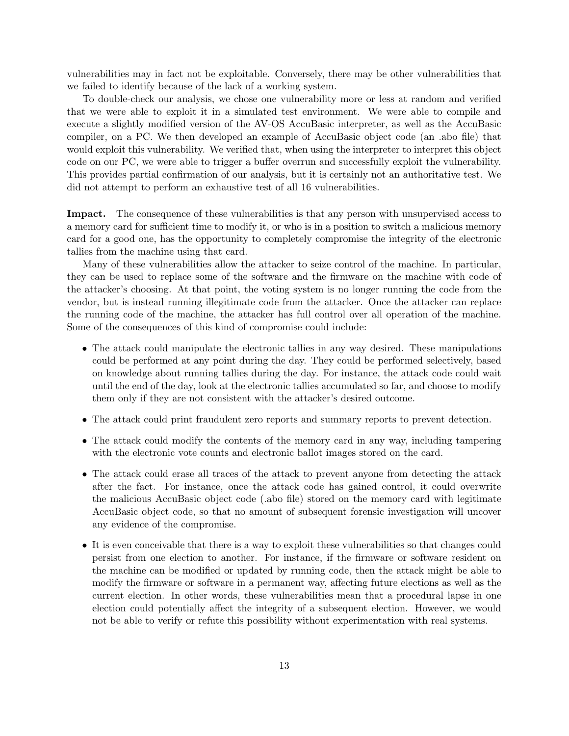vulnerabilities may in fact not be exploitable. Conversely, there may be other vulnerabilities that we failed to identify because of the lack of a working system.

To double-check our analysis, we chose one vulnerability more or less at random and verified that we were able to exploit it in a simulated test environment. We were able to compile and execute a slightly modified version of the AV-OS AccuBasic interpreter, as well as the AccuBasic compiler, on a PC. We then developed an example of AccuBasic object code (an .abo file) that would exploit this vulnerability. We verified that, when using the interpreter to interpret this object code on our PC, we were able to trigger a buffer overrun and successfully exploit the vulnerability. This provides partial confirmation of our analysis, but it is certainly not an authoritative test. We did not attempt to perform an exhaustive test of all 16 vulnerabilities.

Impact. The consequence of these vulnerabilities is that any person with unsupervised access to a memory card for sufficient time to modify it, or who is in a position to switch a malicious memory card for a good one, has the opportunity to completely compromise the integrity of the electronic tallies from the machine using that card.

Many of these vulnerabilities allow the attacker to seize control of the machine. In particular, they can be used to replace some of the software and the firmware on the machine with code of the attacker's choosing. At that point, the voting system is no longer running the code from the vendor, but is instead running illegitimate code from the attacker. Once the attacker can replace the running code of the machine, the attacker has full control over all operation of the machine. Some of the consequences of this kind of compromise could include:

- The attack could manipulate the electronic tallies in any way desired. These manipulations could be performed at any point during the day. They could be performed selectively, based on knowledge about running tallies during the day. For instance, the attack code could wait until the end of the day, look at the electronic tallies accumulated so far, and choose to modify them only if they are not consistent with the attacker's desired outcome.
- The attack could print fraudulent zero reports and summary reports to prevent detection.
- The attack could modify the contents of the memory card in any way, including tampering with the electronic vote counts and electronic ballot images stored on the card.
- The attack could erase all traces of the attack to prevent anyone from detecting the attack after the fact. For instance, once the attack code has gained control, it could overwrite the malicious AccuBasic object code (.abo file) stored on the memory card with legitimate AccuBasic object code, so that no amount of subsequent forensic investigation will uncover any evidence of the compromise.
- It is even conceivable that there is a way to exploit these vulnerabilities so that changes could persist from one election to another. For instance, if the firmware or software resident on the machine can be modified or updated by running code, then the attack might be able to modify the firmware or software in a permanent way, affecting future elections as well as the current election. In other words, these vulnerabilities mean that a procedural lapse in one election could potentially affect the integrity of a subsequent election. However, we would not be able to verify or refute this possibility without experimentation with real systems.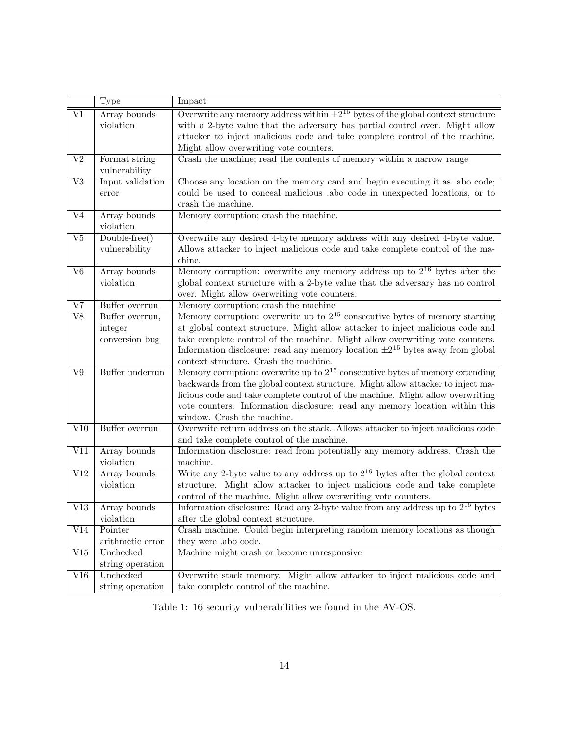|                        | Type                                         | Impact                                                                                                                                                                                                                                                                                                                                                                              |
|------------------------|----------------------------------------------|-------------------------------------------------------------------------------------------------------------------------------------------------------------------------------------------------------------------------------------------------------------------------------------------------------------------------------------------------------------------------------------|
| $\overline{\rm V1}$    | Array bounds<br>violation                    | Overwrite any memory address within $\pm 2^{15}$ bytes of the global context structure<br>with a 2-byte value that the adversary has partial control over. Might allow<br>attacker to inject malicious code and take complete control of the machine.<br>Might allow overwriting vote counters.                                                                                     |
| $\overline{V2}$        | Format string<br>vulnerability               | Crash the machine; read the contents of memory within a narrow range                                                                                                                                                                                                                                                                                                                |
| $\overline{\text{V3}}$ | Input validation<br>error                    | Choose any location on the memory card and begin executing it as .abo code;<br>could be used to conceal malicious abo code in unexpected locations, or to<br>crash the machine.                                                                                                                                                                                                     |
| $\overline{\text{V4}}$ | Array bounds<br>violation                    | Memory corruption; crash the machine.                                                                                                                                                                                                                                                                                                                                               |
| $_{\rm V5}$            | Double-free()<br>vulnerability               | Overwrite any desired 4-byte memory address with any desired 4-byte value.<br>Allows attacker to inject malicious code and take complete control of the ma-<br>chine.                                                                                                                                                                                                               |
| $\overline{\text{V6}}$ | Array bounds<br>violation                    | Memory corruption: overwrite any memory address up to $2^{16}$ bytes after the<br>global context structure with a 2-byte value that the adversary has no control<br>over. Might allow overwriting vote counters.                                                                                                                                                                    |
| $\overline{\rm V7}$    | Buffer overrun                               | Memory corruption; crash the machine                                                                                                                                                                                                                                                                                                                                                |
| $\overline{\text{V8}}$ | Buffer overrun,<br>integer<br>conversion bug | Memory corruption: overwrite up to $2^{15}$ consecutive bytes of memory starting<br>at global context structure. Might allow attacker to inject malicious code and<br>take complete control of the machine. Might allow overwriting vote counters.<br>Information disclosure: read any memory location $\pm 2^{15}$ bytes away from global<br>context structure. Crash the machine. |
| $\overline{\text{V}9}$ | Buffer underrun                              | Memory corruption: overwrite up to $2^{15}$ consecutive bytes of memory extending<br>backwards from the global context structure. Might allow attacker to inject ma-<br>licious code and take complete control of the machine. Might allow overwriting<br>vote counters. Information disclosure: read any memory location within this<br>window. Crash the machine.                 |
| V10                    | Buffer overrun                               | Overwrite return address on the stack. Allows attacker to inject malicious code<br>and take complete control of the machine.                                                                                                                                                                                                                                                        |
| V11                    | Array bounds<br>violation                    | Information disclosure: read from potentially any memory address. Crash the<br>machine.                                                                                                                                                                                                                                                                                             |
| $\rm V12$              | Array bounds<br>violation                    | Write any 2-byte value to any address up to $2^{16}$ bytes after the global context<br>structure. Might allow attacker to inject malicious code and take complete<br>control of the machine. Might allow overwriting vote counters.                                                                                                                                                 |
| V13                    | Array bounds<br>violation                    | Information disclosure: Read any 2-byte value from any address up to $2^{16}$ bytes<br>after the global context structure.                                                                                                                                                                                                                                                          |
| V14                    | Pointer<br>arithmetic error                  | Crash machine. Could begin interpreting random memory locations as though<br>they were .abo code.                                                                                                                                                                                                                                                                                   |
| V15                    | Unchecked<br>string operation                | Machine might crash or become unresponsive                                                                                                                                                                                                                                                                                                                                          |
| V16                    | Unchecked<br>string operation                | Overwrite stack memory. Might allow attacker to inject malicious code and<br>take complete control of the machine.                                                                                                                                                                                                                                                                  |

Table 1: 16 security vulnerabilities we found in the AV-OS.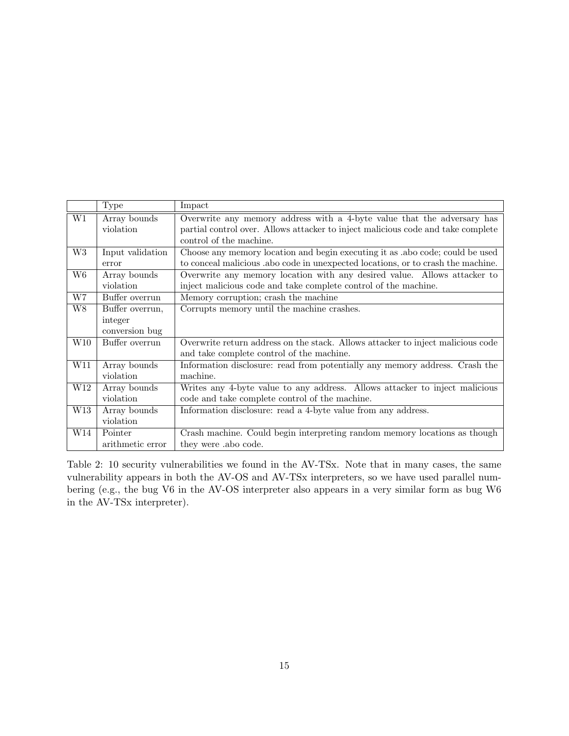|                        | Type             | Impact                                                                           |  |  |
|------------------------|------------------|----------------------------------------------------------------------------------|--|--|
| W1                     | Array bounds     | Overwrite any memory address with a 4-byte value that the adversary has          |  |  |
|                        | violation        | partial control over. Allows attacker to inject malicious code and take complete |  |  |
|                        |                  | control of the machine.                                                          |  |  |
| W <sub>3</sub>         | Input validation | Choose any memory location and begin executing it as .abo code; could be used    |  |  |
|                        | error            | to conceal malicious abo code in unexpected locations, or to crash the machine.  |  |  |
| W <sub>6</sub>         | Array bounds     | Overwrite any memory location with any desired value. Allows attacker to         |  |  |
|                        | violation        | inject malicious code and take complete control of the machine.                  |  |  |
| $\overline{\text{W7}}$ | Buffer overrun   | Memory corruption; crash the machine                                             |  |  |
| W8                     | Buffer overrun,  | Corrupts memory until the machine crashes.                                       |  |  |
|                        | integer          |                                                                                  |  |  |
|                        | conversion bug   |                                                                                  |  |  |
| W10                    | Buffer overrun   | Overwrite return address on the stack. Allows attacker to inject malicious code  |  |  |
|                        |                  | and take complete control of the machine.                                        |  |  |
| W11                    | Array bounds     | Information disclosure: read from potentially any memory address. Crash the      |  |  |
|                        | violation        | machine.                                                                         |  |  |
| W12                    | Array bounds     | Writes any 4-byte value to any address. Allows attacker to inject malicious      |  |  |
|                        | violation        | code and take complete control of the machine.                                   |  |  |
| W13                    | Array bounds     | Information disclosure: read a 4-byte value from any address.                    |  |  |
|                        | violation        |                                                                                  |  |  |
| W14                    | Pointer          | Crash machine. Could begin interpreting random memory locations as though        |  |  |
|                        | arithmetic error | they were abo code.                                                              |  |  |

Table 2: 10 security vulnerabilities we found in the AV-TSx. Note that in many cases, the same vulnerability appears in both the AV-OS and AV-TSx interpreters, so we have used parallel numbering (e.g., the bug V6 in the AV-OS interpreter also appears in a very similar form as bug W6 in the AV-TSx interpreter).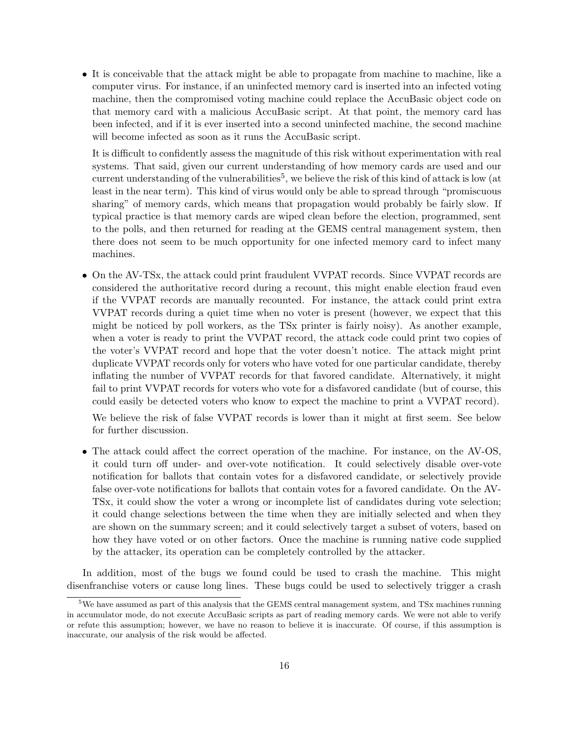• It is conceivable that the attack might be able to propagate from machine to machine, like a computer virus. For instance, if an uninfected memory card is inserted into an infected voting machine, then the compromised voting machine could replace the AccuBasic object code on that memory card with a malicious AccuBasic script. At that point, the memory card has been infected, and if it is ever inserted into a second uninfected machine, the second machine will become infected as soon as it runs the AccuBasic script.

It is difficult to confidently assess the magnitude of this risk without experimentation with real systems. That said, given our current understanding of how memory cards are used and our current understanding of the vulnerabilities<sup>5</sup>, we believe the risk of this kind of attack is low (at least in the near term). This kind of virus would only be able to spread through "promiscuous sharing" of memory cards, which means that propagation would probably be fairly slow. If typical practice is that memory cards are wiped clean before the election, programmed, sent to the polls, and then returned for reading at the GEMS central management system, then there does not seem to be much opportunity for one infected memory card to infect many machines.

• On the AV-TSx, the attack could print fraudulent VVPAT records. Since VVPAT records are considered the authoritative record during a recount, this might enable election fraud even if the VVPAT records are manually recounted. For instance, the attack could print extra VVPAT records during a quiet time when no voter is present (however, we expect that this might be noticed by poll workers, as the TSx printer is fairly noisy). As another example, when a voter is ready to print the VVPAT record, the attack code could print two copies of the voter's VVPAT record and hope that the voter doesn't notice. The attack might print duplicate VVPAT records only for voters who have voted for one particular candidate, thereby inflating the number of VVPAT records for that favored candidate. Alternatively, it might fail to print VVPAT records for voters who vote for a disfavored candidate (but of course, this could easily be detected voters who know to expect the machine to print a VVPAT record).

We believe the risk of false VVPAT records is lower than it might at first seem. See below for further discussion.

• The attack could affect the correct operation of the machine. For instance, on the AV-OS, it could turn off under- and over-vote notification. It could selectively disable over-vote notification for ballots that contain votes for a disfavored candidate, or selectively provide false over-vote notifications for ballots that contain votes for a favored candidate. On the AV-TSx, it could show the voter a wrong or incomplete list of candidates during vote selection; it could change selections between the time when they are initially selected and when they are shown on the summary screen; and it could selectively target a subset of voters, based on how they have voted or on other factors. Once the machine is running native code supplied by the attacker, its operation can be completely controlled by the attacker.

In addition, most of the bugs we found could be used to crash the machine. This might disenfranchise voters or cause long lines. These bugs could be used to selectively trigger a crash

 $5W$ e have assumed as part of this analysis that the GEMS central management system, and TSx machines running in accumulator mode, do not execute AccuBasic scripts as part of reading memory cards. We were not able to verify or refute this assumption; however, we have no reason to believe it is inaccurate. Of course, if this assumption is inaccurate, our analysis of the risk would be affected.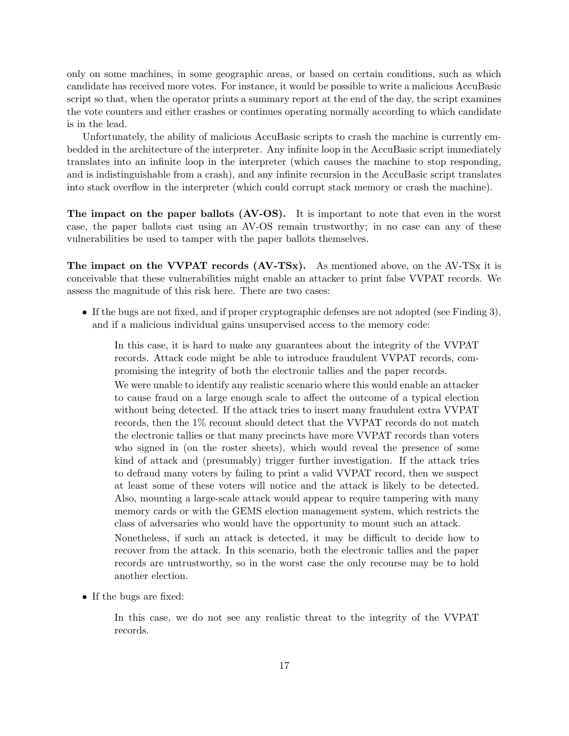only on some machines, in some geographic areas, or based on certain conditions, such as which candidate has received more votes. For instance, it would be possible to write a malicious AccuBasic script so that, when the operator prints a summary report at the end of the day, the script examines the vote counters and either crashes or continues operating normally according to which candidate is in the lead.

Unfortunately, the ability of malicious AccuBasic scripts to crash the machine is currently embedded in the architecture of the interpreter. Any infinite loop in the AccuBasic script immediately translates into an infinite loop in the interpreter (which causes the machine to stop responding, and is indistinguishable from a crash), and any infinite recursion in the AccuBasic script translates into stack overflow in the interpreter (which could corrupt stack memory or crash the machine).

The impact on the paper ballots (AV-OS). It is important to note that even in the worst case, the paper ballots cast using an AV-OS remain trustworthy; in no case can any of these vulnerabilities be used to tamper with the paper ballots themselves.

The impact on the VVPAT records (AV-TSx). As mentioned above, on the AV-TSx it is conceivable that these vulnerabilities might enable an attacker to print false VVPAT records. We assess the magnitude of this risk here. There are two cases:

• If the bugs are not fixed, and if proper cryptographic defenses are not adopted (see Finding 3), and if a malicious individual gains unsupervised access to the memory code:

In this case, it is hard to make any guarantees about the integrity of the VVPAT records. Attack code might be able to introduce fraudulent VVPAT records, compromising the integrity of both the electronic tallies and the paper records.

We were unable to identify any realistic scenario where this would enable an attacker to cause fraud on a large enough scale to affect the outcome of a typical election without being detected. If the attack tries to insert many fraudulent extra VVPAT records, then the 1% recount should detect that the VVPAT records do not match the electronic tallies or that many precincts have more VVPAT records than voters who signed in (on the roster sheets), which would reveal the presence of some kind of attack and (presumably) trigger further investigation. If the attack tries to defraud many voters by failing to print a valid VVPAT record, then we suspect at least some of these voters will notice and the attack is likely to be detected. Also, mounting a large-scale attack would appear to require tampering with many memory cards or with the GEMS election management system, which restricts the class of adversaries who would have the opportunity to mount such an attack.

Nonetheless, if such an attack is detected, it may be difficult to decide how to recover from the attack. In this scenario, both the electronic tallies and the paper records are untrustworthy, so in the worst case the only recourse may be to hold another election.

• If the bugs are fixed:

In this case, we do not see any realistic threat to the integrity of the VVPAT records.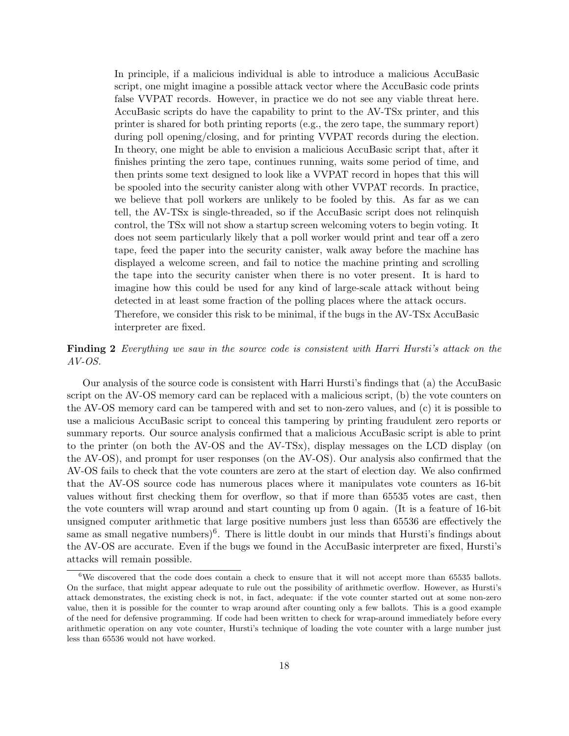In principle, if a malicious individual is able to introduce a malicious AccuBasic script, one might imagine a possible attack vector where the AccuBasic code prints false VVPAT records. However, in practice we do not see any viable threat here. AccuBasic scripts do have the capability to print to the AV-TSx printer, and this printer is shared for both printing reports (e.g., the zero tape, the summary report) during poll opening/closing, and for printing VVPAT records during the election. In theory, one might be able to envision a malicious AccuBasic script that, after it finishes printing the zero tape, continues running, waits some period of time, and then prints some text designed to look like a VVPAT record in hopes that this will be spooled into the security canister along with other VVPAT records. In practice, we believe that poll workers are unlikely to be fooled by this. As far as we can tell, the AV-TSx is single-threaded, so if the AccuBasic script does not relinquish control, the TSx will not show a startup screen welcoming voters to begin voting. It does not seem particularly likely that a poll worker would print and tear off a zero tape, feed the paper into the security canister, walk away before the machine has displayed a welcome screen, and fail to notice the machine printing and scrolling the tape into the security canister when there is no voter present. It is hard to imagine how this could be used for any kind of large-scale attack without being detected in at least some fraction of the polling places where the attack occurs. Therefore, we consider this risk to be minimal, if the bugs in the AV-TSx AccuBasic interpreter are fixed.

Finding 2 Everything we saw in the source code is consistent with Harri Hursti's attack on the AV-OS.

Our analysis of the source code is consistent with Harri Hursti's findings that (a) the AccuBasic script on the AV-OS memory card can be replaced with a malicious script, (b) the vote counters on the AV-OS memory card can be tampered with and set to non-zero values, and (c) it is possible to use a malicious AccuBasic script to conceal this tampering by printing fraudulent zero reports or summary reports. Our source analysis confirmed that a malicious AccuBasic script is able to print to the printer (on both the AV-OS and the AV-TSx), display messages on the LCD display (on the AV-OS), and prompt for user responses (on the AV-OS). Our analysis also confirmed that the AV-OS fails to check that the vote counters are zero at the start of election day. We also confirmed that the AV-OS source code has numerous places where it manipulates vote counters as 16-bit values without first checking them for overflow, so that if more than 65535 votes are cast, then the vote counters will wrap around and start counting up from 0 again. (It is a feature of 16-bit unsigned computer arithmetic that large positive numbers just less than 65536 are effectively the same as small negative numbers)<sup>6</sup>. There is little doubt in our minds that Hursti's findings about the AV-OS are accurate. Even if the bugs we found in the AccuBasic interpreter are fixed, Hursti's attacks will remain possible.

 $6\text{We discovered that the code does contain a check to ensure that it will not accept more than 65535 balls.}$ On the surface, that might appear adequate to rule out the possibility of arithmetic overflow. However, as Hursti's attack demonstrates, the existing check is not, in fact, adequate: if the vote counter started out at some non-zero value, then it is possible for the counter to wrap around after counting only a few ballots. This is a good example of the need for defensive programming. If code had been written to check for wrap-around immediately before every arithmetic operation on any vote counter, Hursti's technique of loading the vote counter with a large number just less than 65536 would not have worked.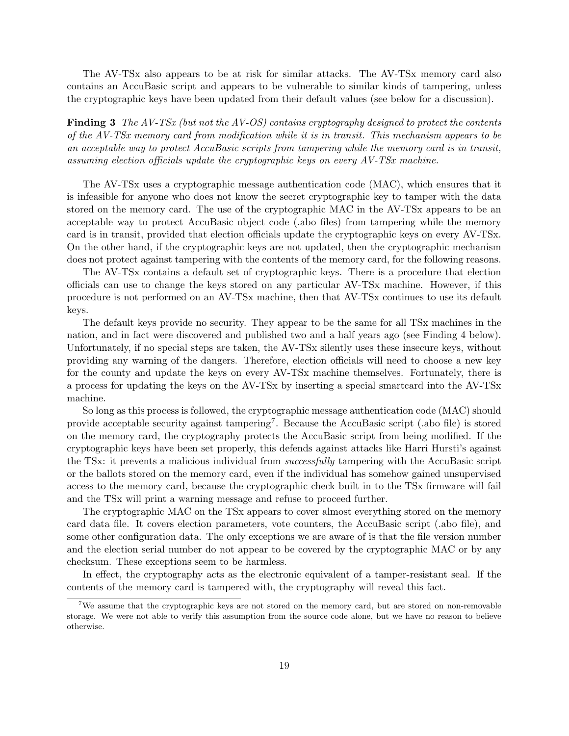The AV-TSx also appears to be at risk for similar attacks. The AV-TSx memory card also contains an AccuBasic script and appears to be vulnerable to similar kinds of tampering, unless the cryptographic keys have been updated from their default values (see below for a discussion).

Finding 3 The AV-TSx (but not the AV-OS) contains cryptography designed to protect the contents of the AV-TSx memory card from modification while it is in transit. This mechanism appears to be an acceptable way to protect AccuBasic scripts from tampering while the memory card is in transit, assuming election officials update the cryptographic keys on every AV-TSx machine.

The AV-TSx uses a cryptographic message authentication code (MAC), which ensures that it is infeasible for anyone who does not know the secret cryptographic key to tamper with the data stored on the memory card. The use of the cryptographic MAC in the AV-TSx appears to be an acceptable way to protect AccuBasic object code (.abo files) from tampering while the memory card is in transit, provided that election officials update the cryptographic keys on every AV-TSx. On the other hand, if the cryptographic keys are not updated, then the cryptographic mechanism does not protect against tampering with the contents of the memory card, for the following reasons.

The AV-TSx contains a default set of cryptographic keys. There is a procedure that election officials can use to change the keys stored on any particular AV-TSx machine. However, if this procedure is not performed on an AV-TSx machine, then that AV-TSx continues to use its default keys.

The default keys provide no security. They appear to be the same for all TSx machines in the nation, and in fact were discovered and published two and a half years ago (see Finding 4 below). Unfortunately, if no special steps are taken, the AV-TSx silently uses these insecure keys, without providing any warning of the dangers. Therefore, election officials will need to choose a new key for the county and update the keys on every AV-TSx machine themselves. Fortunately, there is a process for updating the keys on the AV-TSx by inserting a special smartcard into the AV-TSx machine.

So long as this process is followed, the cryptographic message authentication code (MAC) should provide acceptable security against tampering<sup>7</sup>. Because the AccuBasic script (.abo file) is stored on the memory card, the cryptography protects the AccuBasic script from being modified. If the cryptographic keys have been set properly, this defends against attacks like Harri Hursti's against the TSx: it prevents a malicious individual from successfully tampering with the AccuBasic script or the ballots stored on the memory card, even if the individual has somehow gained unsupervised access to the memory card, because the cryptographic check built in to the TSx firmware will fail and the TSx will print a warning message and refuse to proceed further.

The cryptographic MAC on the TSx appears to cover almost everything stored on the memory card data file. It covers election parameters, vote counters, the AccuBasic script (.abo file), and some other configuration data. The only exceptions we are aware of is that the file version number and the election serial number do not appear to be covered by the cryptographic MAC or by any checksum. These exceptions seem to be harmless.

In effect, the cryptography acts as the electronic equivalent of a tamper-resistant seal. If the contents of the memory card is tampered with, the cryptography will reveal this fact.

<sup>&</sup>lt;sup>7</sup>We assume that the cryptographic keys are not stored on the memory card, but are stored on non-removable storage. We were not able to verify this assumption from the source code alone, but we have no reason to believe otherwise.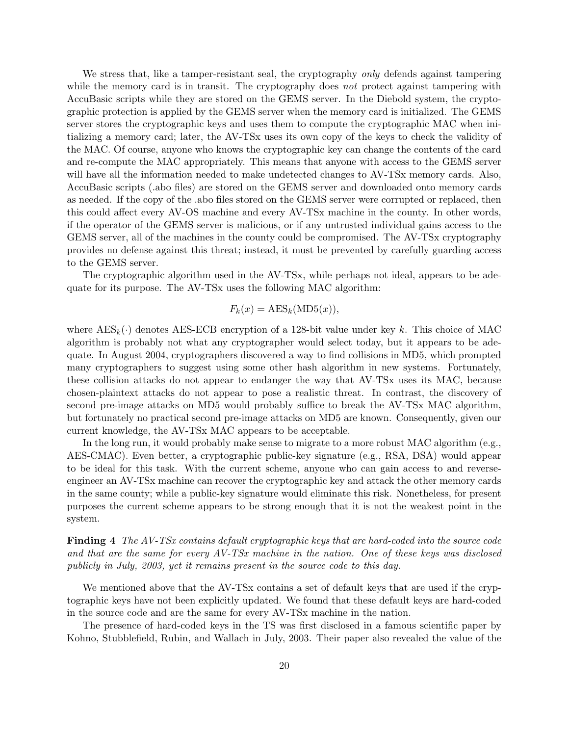We stress that, like a tamper-resistant seal, the cryptography *only* defends against tampering while the memory card is in transit. The cryptography does not protect against tampering with AccuBasic scripts while they are stored on the GEMS server. In the Diebold system, the cryptographic protection is applied by the GEMS server when the memory card is initialized. The GEMS server stores the cryptographic keys and uses them to compute the cryptographic MAC when initializing a memory card; later, the AV-TSx uses its own copy of the keys to check the validity of the MAC. Of course, anyone who knows the cryptographic key can change the contents of the card and re-compute the MAC appropriately. This means that anyone with access to the GEMS server will have all the information needed to make undetected changes to AV-TSx memory cards. Also, AccuBasic scripts (.abo files) are stored on the GEMS server and downloaded onto memory cards as needed. If the copy of the .abo files stored on the GEMS server were corrupted or replaced, then this could affect every AV-OS machine and every AV-TSx machine in the county. In other words, if the operator of the GEMS server is malicious, or if any untrusted individual gains access to the GEMS server, all of the machines in the county could be compromised. The AV-TSx cryptography provides no defense against this threat; instead, it must be prevented by carefully guarding access to the GEMS server.

The cryptographic algorithm used in the AV-TSx, while perhaps not ideal, appears to be adequate for its purpose. The AV-TSx uses the following MAC algorithm:

$$
F_k(x) = \text{AES}_k(\text{MD5}(x)),
$$

where  $\text{AES}_k(\cdot)$  denotes AES-ECB encryption of a 128-bit value under key k. This choice of MAC algorithm is probably not what any cryptographer would select today, but it appears to be adequate. In August 2004, cryptographers discovered a way to find collisions in MD5, which prompted many cryptographers to suggest using some other hash algorithm in new systems. Fortunately, these collision attacks do not appear to endanger the way that AV-TSx uses its MAC, because chosen-plaintext attacks do not appear to pose a realistic threat. In contrast, the discovery of second pre-image attacks on MD5 would probably suffice to break the AV-TSx MAC algorithm, but fortunately no practical second pre-image attacks on MD5 are known. Consequently, given our current knowledge, the AV-TSx MAC appears to be acceptable.

In the long run, it would probably make sense to migrate to a more robust MAC algorithm (e.g., AES-CMAC). Even better, a cryptographic public-key signature (e.g., RSA, DSA) would appear to be ideal for this task. With the current scheme, anyone who can gain access to and reverseengineer an AV-TSx machine can recover the cryptographic key and attack the other memory cards in the same county; while a public-key signature would eliminate this risk. Nonetheless, for present purposes the current scheme appears to be strong enough that it is not the weakest point in the system.

Finding 4 The AV-TSx contains default cryptographic keys that are hard-coded into the source code and that are the same for every AV-TSx machine in the nation. One of these keys was disclosed publicly in July, 2003, yet it remains present in the source code to this day.

We mentioned above that the AV-TSx contains a set of default keys that are used if the cryptographic keys have not been explicitly updated. We found that these default keys are hard-coded in the source code and are the same for every AV-TSx machine in the nation.

The presence of hard-coded keys in the TS was first disclosed in a famous scientific paper by Kohno, Stubblefield, Rubin, and Wallach in July, 2003. Their paper also revealed the value of the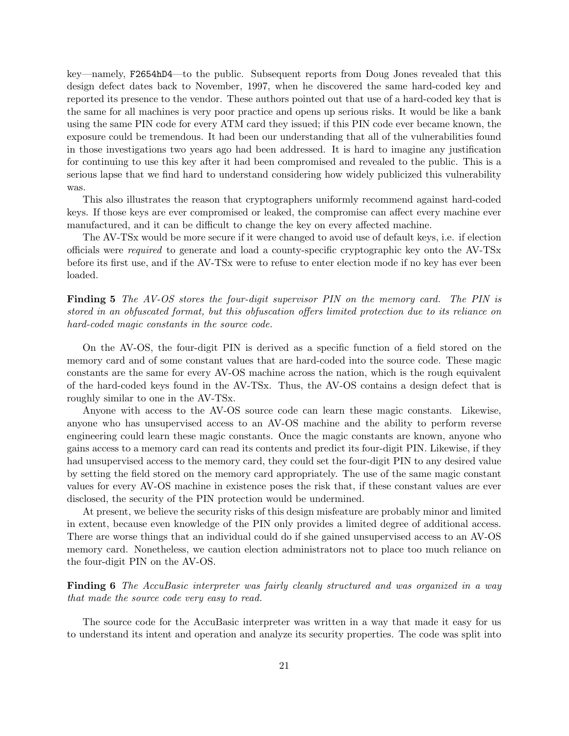key—namely, F2654hD4—to the public. Subsequent reports from Doug Jones revealed that this design defect dates back to November, 1997, when he discovered the same hard-coded key and reported its presence to the vendor. These authors pointed out that use of a hard-coded key that is the same for all machines is very poor practice and opens up serious risks. It would be like a bank using the same PIN code for every ATM card they issued; if this PIN code ever became known, the exposure could be tremendous. It had been our understanding that all of the vulnerabilities found in those investigations two years ago had been addressed. It is hard to imagine any justification for continuing to use this key after it had been compromised and revealed to the public. This is a serious lapse that we find hard to understand considering how widely publicized this vulnerability was.

This also illustrates the reason that cryptographers uniformly recommend against hard-coded keys. If those keys are ever compromised or leaked, the compromise can affect every machine ever manufactured, and it can be difficult to change the key on every affected machine.

The AV-TSx would be more secure if it were changed to avoid use of default keys, i.e. if election officials were required to generate and load a county-specific cryptographic key onto the AV-TSx before its first use, and if the AV-TSx were to refuse to enter election mode if no key has ever been loaded.

**Finding 5** The AV-OS stores the four-digit supervisor PIN on the memory card. The PIN is stored in an obfuscated format, but this obfuscation offers limited protection due to its reliance on hard-coded magic constants in the source code.

On the AV-OS, the four-digit PIN is derived as a specific function of a field stored on the memory card and of some constant values that are hard-coded into the source code. These magic constants are the same for every AV-OS machine across the nation, which is the rough equivalent of the hard-coded keys found in the AV-TSx. Thus, the AV-OS contains a design defect that is roughly similar to one in the AV-TSx.

Anyone with access to the AV-OS source code can learn these magic constants. Likewise, anyone who has unsupervised access to an AV-OS machine and the ability to perform reverse engineering could learn these magic constants. Once the magic constants are known, anyone who gains access to a memory card can read its contents and predict its four-digit PIN. Likewise, if they had unsupervised access to the memory card, they could set the four-digit PIN to any desired value by setting the field stored on the memory card appropriately. The use of the same magic constant values for every AV-OS machine in existence poses the risk that, if these constant values are ever disclosed, the security of the PIN protection would be undermined.

At present, we believe the security risks of this design misfeature are probably minor and limited in extent, because even knowledge of the PIN only provides a limited degree of additional access. There are worse things that an individual could do if she gained unsupervised access to an AV-OS memory card. Nonetheless, we caution election administrators not to place too much reliance on the four-digit PIN on the AV-OS.

Finding 6 The AccuBasic interpreter was fairly cleanly structured and was organized in a way that made the source code very easy to read.

The source code for the AccuBasic interpreter was written in a way that made it easy for us to understand its intent and operation and analyze its security properties. The code was split into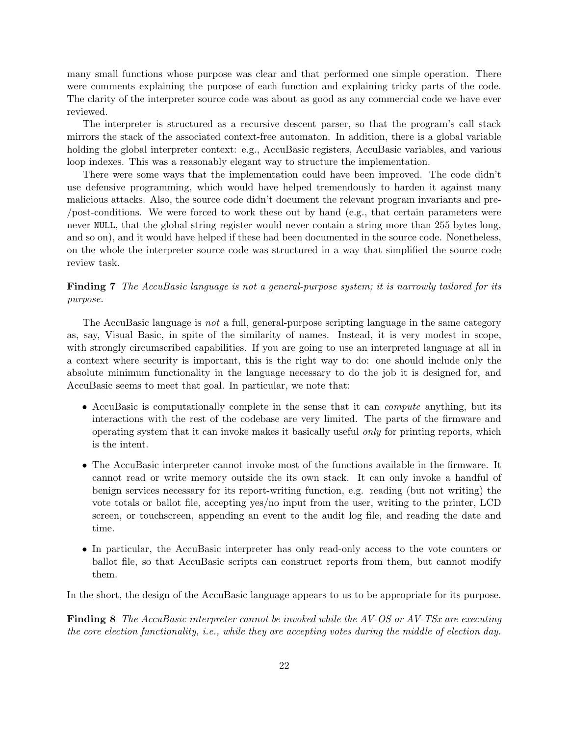many small functions whose purpose was clear and that performed one simple operation. There were comments explaining the purpose of each function and explaining tricky parts of the code. The clarity of the interpreter source code was about as good as any commercial code we have ever reviewed.

The interpreter is structured as a recursive descent parser, so that the program's call stack mirrors the stack of the associated context-free automaton. In addition, there is a global variable holding the global interpreter context: e.g., AccuBasic registers, AccuBasic variables, and various loop indexes. This was a reasonably elegant way to structure the implementation.

There were some ways that the implementation could have been improved. The code didn't use defensive programming, which would have helped tremendously to harden it against many malicious attacks. Also, the source code didn't document the relevant program invariants and pre- /post-conditions. We were forced to work these out by hand (e.g., that certain parameters were never NULL, that the global string register would never contain a string more than 255 bytes long, and so on), and it would have helped if these had been documented in the source code. Nonetheless, on the whole the interpreter source code was structured in a way that simplified the source code review task.

Finding 7 The AccuBasic language is not a general-purpose system; it is narrowly tailored for its purpose.

The AccuBasic language is not a full, general-purpose scripting language in the same category as, say, Visual Basic, in spite of the similarity of names. Instead, it is very modest in scope, with strongly circumscribed capabilities. If you are going to use an interpreted language at all in a context where security is important, this is the right way to do: one should include only the absolute minimum functionality in the language necessary to do the job it is designed for, and AccuBasic seems to meet that goal. In particular, we note that:

- AccuBasic is computationally complete in the sense that it can *compute* anything, but its interactions with the rest of the codebase are very limited. The parts of the firmware and operating system that it can invoke makes it basically useful only for printing reports, which is the intent.
- The AccuBasic interpreter cannot invoke most of the functions available in the firmware. It cannot read or write memory outside the its own stack. It can only invoke a handful of benign services necessary for its report-writing function, e.g. reading (but not writing) the vote totals or ballot file, accepting yes/no input from the user, writing to the printer, LCD screen, or touchscreen, appending an event to the audit log file, and reading the date and time.
- In particular, the AccuBasic interpreter has only read-only access to the vote counters or ballot file, so that AccuBasic scripts can construct reports from them, but cannot modify them.

In the short, the design of the AccuBasic language appears to us to be appropriate for its purpose.

Finding 8 The AccuBasic interpreter cannot be invoked while the AV-OS or AV-TSx are executing the core election functionality, i.e., while they are accepting votes during the middle of election day.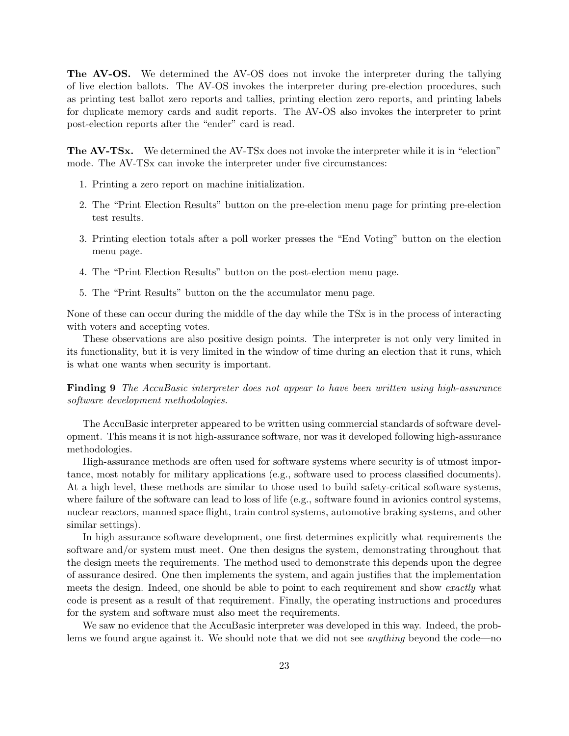The AV-OS. We determined the AV-OS does not invoke the interpreter during the tallying of live election ballots. The AV-OS invokes the interpreter during pre-election procedures, such as printing test ballot zero reports and tallies, printing election zero reports, and printing labels for duplicate memory cards and audit reports. The AV-OS also invokes the interpreter to print post-election reports after the "ender" card is read.

The AV-TSx. We determined the AV-TSx does not invoke the interpreter while it is in "election" mode. The AV-TSx can invoke the interpreter under five circumstances:

- 1. Printing a zero report on machine initialization.
- 2. The "Print Election Results" button on the pre-election menu page for printing pre-election test results.
- 3. Printing election totals after a poll worker presses the "End Voting" button on the election menu page.
- 4. The "Print Election Results" button on the post-election menu page.
- 5. The "Print Results" button on the the accumulator menu page.

None of these can occur during the middle of the day while the TSx is in the process of interacting with voters and accepting votes.

These observations are also positive design points. The interpreter is not only very limited in its functionality, but it is very limited in the window of time during an election that it runs, which is what one wants when security is important.

Finding 9 The AccuBasic interpreter does not appear to have been written using high-assurance software development methodologies.

The AccuBasic interpreter appeared to be written using commercial standards of software development. This means it is not high-assurance software, nor was it developed following high-assurance methodologies.

High-assurance methods are often used for software systems where security is of utmost importance, most notably for military applications (e.g., software used to process classified documents). At a high level, these methods are similar to those used to build safety-critical software systems, where failure of the software can lead to loss of life (e.g., software found in avionics control systems, nuclear reactors, manned space flight, train control systems, automotive braking systems, and other similar settings).

In high assurance software development, one first determines explicitly what requirements the software and/or system must meet. One then designs the system, demonstrating throughout that the design meets the requirements. The method used to demonstrate this depends upon the degree of assurance desired. One then implements the system, and again justifies that the implementation meets the design. Indeed, one should be able to point to each requirement and show exactly what code is present as a result of that requirement. Finally, the operating instructions and procedures for the system and software must also meet the requirements.

We saw no evidence that the AccuBasic interpreter was developed in this way. Indeed, the problems we found argue against it. We should note that we did not see *anything* beyond the code—no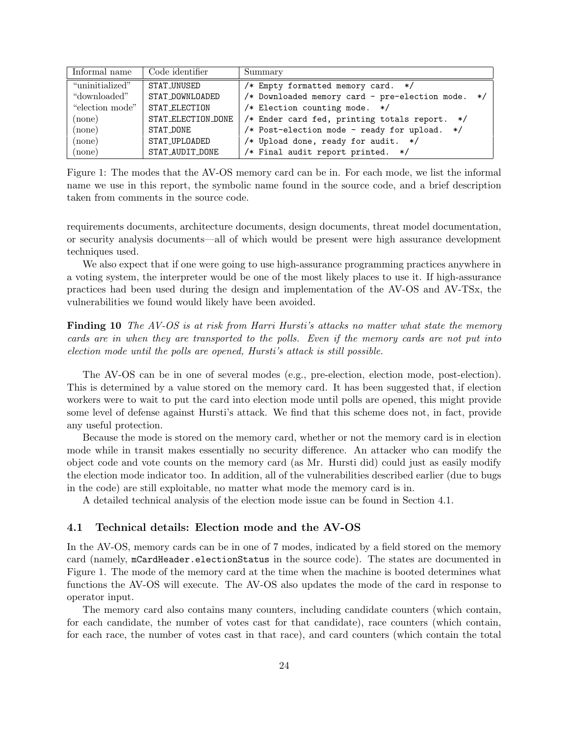| Informal name   | Code identifier    | Summary                                           |
|-----------------|--------------------|---------------------------------------------------|
| "uninitialized" | STAT_UNUSED        | /* Empty formatted memory card. */                |
| "downloaded"    | STAT_DOWNLOADED    | /* Downloaded memory card - pre-election mode. */ |
| "election mode" | STAT_ELECTION      | /* Election counting mode. */                     |
| (none)          | STAT_ELECTION_DONE | /* Ender card fed, printing totals report. */     |
| (none)          | STAT DONE          | /* Post-election mode - ready for upload. */      |
| (none)          | STAT_UPLOADED      | /* Upload done, ready for audit. */               |
| (none)          | STAT_AUDIT_DONE    | /* Final audit report printed. */                 |

Figure 1: The modes that the AV-OS memory card can be in. For each mode, we list the informal name we use in this report, the symbolic name found in the source code, and a brief description taken from comments in the source code.

requirements documents, architecture documents, design documents, threat model documentation, or security analysis documents—all of which would be present were high assurance development techniques used.

We also expect that if one were going to use high-assurance programming practices anywhere in a voting system, the interpreter would be one of the most likely places to use it. If high-assurance practices had been used during the design and implementation of the AV-OS and AV-TSx, the vulnerabilities we found would likely have been avoided.

Finding 10 The AV-OS is at risk from Harri Hursti's attacks no matter what state the memory cards are in when they are transported to the polls. Even if the memory cards are not put into election mode until the polls are opened, Hursti's attack is still possible.

The AV-OS can be in one of several modes (e.g., pre-election, election mode, post-election). This is determined by a value stored on the memory card. It has been suggested that, if election workers were to wait to put the card into election mode until polls are opened, this might provide some level of defense against Hursti's attack. We find that this scheme does not, in fact, provide any useful protection.

Because the mode is stored on the memory card, whether or not the memory card is in election mode while in transit makes essentially no security difference. An attacker who can modify the object code and vote counts on the memory card (as Mr. Hursti did) could just as easily modify the election mode indicator too. In addition, all of the vulnerabilities described earlier (due to bugs in the code) are still exploitable, no matter what mode the memory card is in.

A detailed technical analysis of the election mode issue can be found in Section 4.1.

## 4.1 Technical details: Election mode and the AV-OS

In the AV-OS, memory cards can be in one of 7 modes, indicated by a field stored on the memory card (namely, mCardHeader.electionStatus in the source code). The states are documented in Figure 1. The mode of the memory card at the time when the machine is booted determines what functions the AV-OS will execute. The AV-OS also updates the mode of the card in response to operator input.

The memory card also contains many counters, including candidate counters (which contain, for each candidate, the number of votes cast for that candidate), race counters (which contain, for each race, the number of votes cast in that race), and card counters (which contain the total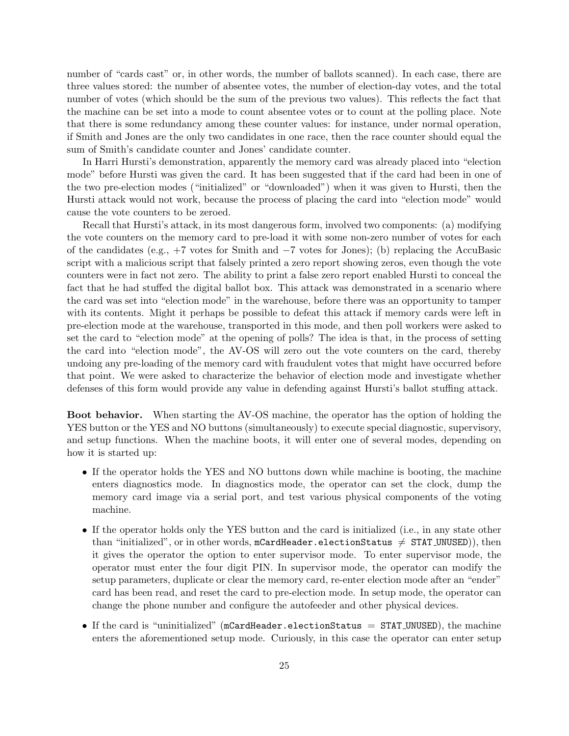number of "cards cast" or, in other words, the number of ballots scanned). In each case, there are three values stored: the number of absentee votes, the number of election-day votes, and the total number of votes (which should be the sum of the previous two values). This reflects the fact that the machine can be set into a mode to count absentee votes or to count at the polling place. Note that there is some redundancy among these counter values: for instance, under normal operation, if Smith and Jones are the only two candidates in one race, then the race counter should equal the sum of Smith's candidate counter and Jones' candidate counter.

In Harri Hursti's demonstration, apparently the memory card was already placed into "election mode" before Hursti was given the card. It has been suggested that if the card had been in one of the two pre-election modes ("initialized" or "downloaded") when it was given to Hursti, then the Hursti attack would not work, because the process of placing the card into "election mode" would cause the vote counters to be zeroed.

Recall that Hursti's attack, in its most dangerous form, involved two components: (a) modifying the vote counters on the memory card to pre-load it with some non-zero number of votes for each of the candidates (e.g., +7 votes for Smith and −7 votes for Jones); (b) replacing the AccuBasic script with a malicious script that falsely printed a zero report showing zeros, even though the vote counters were in fact not zero. The ability to print a false zero report enabled Hursti to conceal the fact that he had stuffed the digital ballot box. This attack was demonstrated in a scenario where the card was set into "election mode" in the warehouse, before there was an opportunity to tamper with its contents. Might it perhaps be possible to defeat this attack if memory cards were left in pre-election mode at the warehouse, transported in this mode, and then poll workers were asked to set the card to "election mode" at the opening of polls? The idea is that, in the process of setting the card into "election mode", the AV-OS will zero out the vote counters on the card, thereby undoing any pre-loading of the memory card with fraudulent votes that might have occurred before that point. We were asked to characterize the behavior of election mode and investigate whether defenses of this form would provide any value in defending against Hursti's ballot stuffing attack.

Boot behavior. When starting the AV-OS machine, the operator has the option of holding the YES button or the YES and NO buttons (simultaneously) to execute special diagnostic, supervisory, and setup functions. When the machine boots, it will enter one of several modes, depending on how it is started up:

- If the operator holds the YES and NO buttons down while machine is booting, the machine enters diagnostics mode. In diagnostics mode, the operator can set the clock, dump the memory card image via a serial port, and test various physical components of the voting machine.
- If the operator holds only the YES button and the card is initialized (i.e., in any state other than "initialized", or in other words, mCardHeader.electionStatus  $\neq$  STAT UNUSED), then it gives the operator the option to enter supervisor mode. To enter supervisor mode, the operator must enter the four digit PIN. In supervisor mode, the operator can modify the setup parameters, duplicate or clear the memory card, re-enter election mode after an "ender" card has been read, and reset the card to pre-election mode. In setup mode, the operator can change the phone number and configure the autofeeder and other physical devices.
- If the card is "uninitialized" (mCardHeader.electionStatus  $=$  STAT\_UNUSED), the machine enters the aforementioned setup mode. Curiously, in this case the operator can enter setup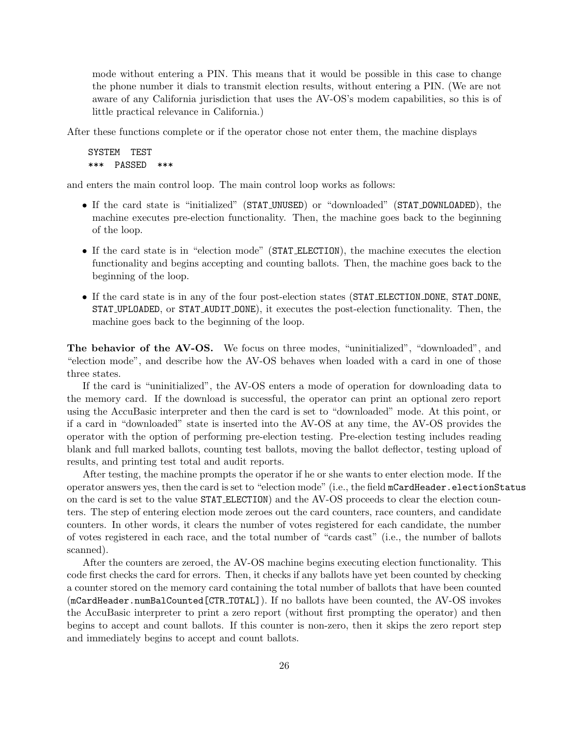mode without entering a PIN. This means that it would be possible in this case to change the phone number it dials to transmit election results, without entering a PIN. (We are not aware of any California jurisdiction that uses the AV-OS's modem capabilities, so this is of little practical relevance in California.)

After these functions complete or if the operator chose not enter them, the machine displays

```
SYSTEM TEST
*** PASSED ***
```
and enters the main control loop. The main control loop works as follows:

- If the card state is "initialized" (STAT UNUSED) or "downloaded" (STAT DOWNLOADED), the machine executes pre-election functionality. Then, the machine goes back to the beginning of the loop.
- If the card state is in "election mode" (STAT ELECTION), the machine executes the election functionality and begins accepting and counting ballots. Then, the machine goes back to the beginning of the loop.
- If the card state is in any of the four post-election states (STAT ELECTION DONE, STAT DONE, STAT UPLOADED, or STAT AUDIT DONE), it executes the post-election functionality. Then, the machine goes back to the beginning of the loop.

The behavior of the AV-OS. We focus on three modes, "uninitialized", "downloaded", and "election mode", and describe how the AV-OS behaves when loaded with a card in one of those three states.

If the card is "uninitialized", the AV-OS enters a mode of operation for downloading data to the memory card. If the download is successful, the operator can print an optional zero report using the AccuBasic interpreter and then the card is set to "downloaded" mode. At this point, or if a card in "downloaded" state is inserted into the AV-OS at any time, the AV-OS provides the operator with the option of performing pre-election testing. Pre-election testing includes reading blank and full marked ballots, counting test ballots, moving the ballot deflector, testing upload of results, and printing test total and audit reports.

After testing, the machine prompts the operator if he or she wants to enter election mode. If the operator answers yes, then the card is set to "election mode" (i.e., the field mCardHeader.electionStatus on the card is set to the value STAT ELECTION) and the AV-OS proceeds to clear the election counters. The step of entering election mode zeroes out the card counters, race counters, and candidate counters. In other words, it clears the number of votes registered for each candidate, the number of votes registered in each race, and the total number of "cards cast" (i.e., the number of ballots scanned).

After the counters are zeroed, the AV-OS machine begins executing election functionality. This code first checks the card for errors. Then, it checks if any ballots have yet been counted by checking a counter stored on the memory card containing the total number of ballots that have been counted (mCardHeader.numBalCounted[CTR TOTAL]). If no ballots have been counted, the AV-OS invokes the AccuBasic interpreter to print a zero report (without first prompting the operator) and then begins to accept and count ballots. If this counter is non-zero, then it skips the zero report step and immediately begins to accept and count ballots.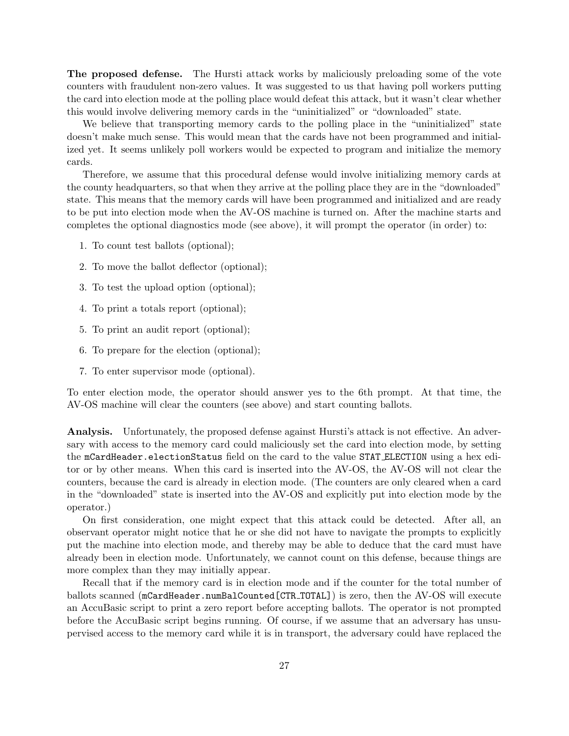The proposed defense. The Hursti attack works by maliciously preloading some of the vote counters with fraudulent non-zero values. It was suggested to us that having poll workers putting the card into election mode at the polling place would defeat this attack, but it wasn't clear whether this would involve delivering memory cards in the "uninitialized" or "downloaded" state.

We believe that transporting memory cards to the polling place in the "uninitialized" state doesn't make much sense. This would mean that the cards have not been programmed and initialized yet. It seems unlikely poll workers would be expected to program and initialize the memory cards.

Therefore, we assume that this procedural defense would involve initializing memory cards at the county headquarters, so that when they arrive at the polling place they are in the "downloaded" state. This means that the memory cards will have been programmed and initialized and are ready to be put into election mode when the AV-OS machine is turned on. After the machine starts and completes the optional diagnostics mode (see above), it will prompt the operator (in order) to:

- 1. To count test ballots (optional);
- 2. To move the ballot deflector (optional);
- 3. To test the upload option (optional);
- 4. To print a totals report (optional);
- 5. To print an audit report (optional);
- 6. To prepare for the election (optional);
- 7. To enter supervisor mode (optional).

To enter election mode, the operator should answer yes to the 6th prompt. At that time, the AV-OS machine will clear the counters (see above) and start counting ballots.

Analysis. Unfortunately, the proposed defense against Hursti's attack is not effective. An adversary with access to the memory card could maliciously set the card into election mode, by setting the mCardHeader.electionStatus field on the card to the value STAT ELECTION using a hex editor or by other means. When this card is inserted into the AV-OS, the AV-OS will not clear the counters, because the card is already in election mode. (The counters are only cleared when a card in the "downloaded" state is inserted into the AV-OS and explicitly put into election mode by the operator.)

On first consideration, one might expect that this attack could be detected. After all, an observant operator might notice that he or she did not have to navigate the prompts to explicitly put the machine into election mode, and thereby may be able to deduce that the card must have already been in election mode. Unfortunately, we cannot count on this defense, because things are more complex than they may initially appear.

Recall that if the memory card is in election mode and if the counter for the total number of ballots scanned (mCardHeader.numBalCounted[CTR TOTAL]) is zero, then the AV-OS will execute an AccuBasic script to print a zero report before accepting ballots. The operator is not prompted before the AccuBasic script begins running. Of course, if we assume that an adversary has unsupervised access to the memory card while it is in transport, the adversary could have replaced the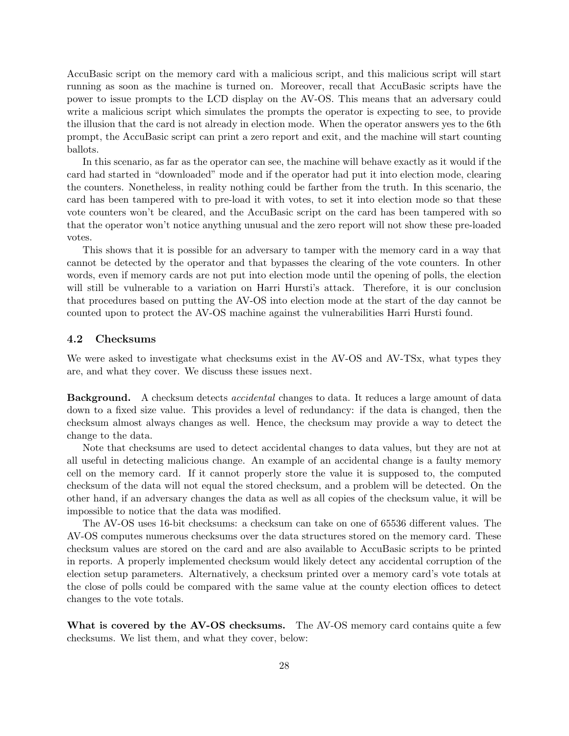AccuBasic script on the memory card with a malicious script, and this malicious script will start running as soon as the machine is turned on. Moreover, recall that AccuBasic scripts have the power to issue prompts to the LCD display on the AV-OS. This means that an adversary could write a malicious script which simulates the prompts the operator is expecting to see, to provide the illusion that the card is not already in election mode. When the operator answers yes to the 6th prompt, the AccuBasic script can print a zero report and exit, and the machine will start counting ballots.

In this scenario, as far as the operator can see, the machine will behave exactly as it would if the card had started in "downloaded" mode and if the operator had put it into election mode, clearing the counters. Nonetheless, in reality nothing could be farther from the truth. In this scenario, the card has been tampered with to pre-load it with votes, to set it into election mode so that these vote counters won't be cleared, and the AccuBasic script on the card has been tampered with so that the operator won't notice anything unusual and the zero report will not show these pre-loaded votes.

This shows that it is possible for an adversary to tamper with the memory card in a way that cannot be detected by the operator and that bypasses the clearing of the vote counters. In other words, even if memory cards are not put into election mode until the opening of polls, the election will still be vulnerable to a variation on Harri Hursti's attack. Therefore, it is our conclusion that procedures based on putting the AV-OS into election mode at the start of the day cannot be counted upon to protect the AV-OS machine against the vulnerabilities Harri Hursti found.

#### 4.2 Checksums

We were asked to investigate what checksums exist in the AV-OS and AV-TSx, what types they are, and what they cover. We discuss these issues next.

Background. A checksum detects accidental changes to data. It reduces a large amount of data down to a fixed size value. This provides a level of redundancy: if the data is changed, then the checksum almost always changes as well. Hence, the checksum may provide a way to detect the change to the data.

Note that checksums are used to detect accidental changes to data values, but they are not at all useful in detecting malicious change. An example of an accidental change is a faulty memory cell on the memory card. If it cannot properly store the value it is supposed to, the computed checksum of the data will not equal the stored checksum, and a problem will be detected. On the other hand, if an adversary changes the data as well as all copies of the checksum value, it will be impossible to notice that the data was modified.

The AV-OS uses 16-bit checksums: a checksum can take on one of 65536 different values. The AV-OS computes numerous checksums over the data structures stored on the memory card. These checksum values are stored on the card and are also available to AccuBasic scripts to be printed in reports. A properly implemented checksum would likely detect any accidental corruption of the election setup parameters. Alternatively, a checksum printed over a memory card's vote totals at the close of polls could be compared with the same value at the county election offices to detect changes to the vote totals.

What is covered by the AV-OS checksums. The AV-OS memory card contains quite a few checksums. We list them, and what they cover, below: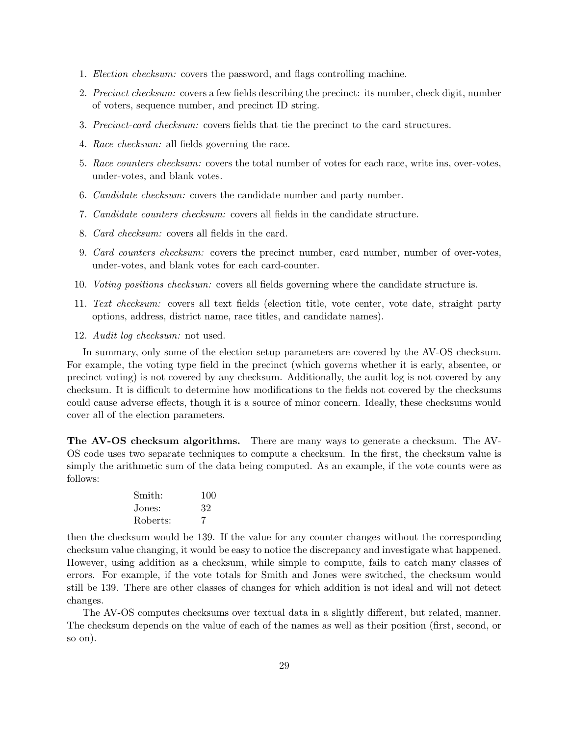- 1. Election checksum: covers the password, and flags controlling machine.
- 2. Precinct checksum: covers a few fields describing the precinct: its number, check digit, number of voters, sequence number, and precinct ID string.
- 3. Precinct-card checksum: covers fields that tie the precinct to the card structures.
- 4. Race checksum: all fields governing the race.
- 5. Race counters checksum: covers the total number of votes for each race, write ins, over-votes, under-votes, and blank votes.
- 6. Candidate checksum: covers the candidate number and party number.
- 7. Candidate counters checksum: covers all fields in the candidate structure.
- 8. Card checksum: covers all fields in the card.
- 9. Card counters checksum: covers the precinct number, card number, number of over-votes, under-votes, and blank votes for each card-counter.
- 10. Voting positions checksum: covers all fields governing where the candidate structure is.
- 11. Text checksum: covers all text fields (election title, vote center, vote date, straight party options, address, district name, race titles, and candidate names).
- 12. Audit log checksum: not used.

In summary, only some of the election setup parameters are covered by the AV-OS checksum. For example, the voting type field in the precinct (which governs whether it is early, absentee, or precinct voting) is not covered by any checksum. Additionally, the audit log is not covered by any checksum. It is difficult to determine how modifications to the fields not covered by the checksums could cause adverse effects, though it is a source of minor concern. Ideally, these checksums would cover all of the election parameters.

The AV-OS checksum algorithms. There are many ways to generate a checksum. The AV-OS code uses two separate techniques to compute a checksum. In the first, the checksum value is simply the arithmetic sum of the data being computed. As an example, if the vote counts were as follows:

| Smith:   | 100 |
|----------|-----|
| Jones:   | 32  |
| Roberts: | 7   |

then the checksum would be 139. If the value for any counter changes without the corresponding checksum value changing, it would be easy to notice the discrepancy and investigate what happened. However, using addition as a checksum, while simple to compute, fails to catch many classes of errors. For example, if the vote totals for Smith and Jones were switched, the checksum would still be 139. There are other classes of changes for which addition is not ideal and will not detect changes.

The AV-OS computes checksums over textual data in a slightly different, but related, manner. The checksum depends on the value of each of the names as well as their position (first, second, or so on).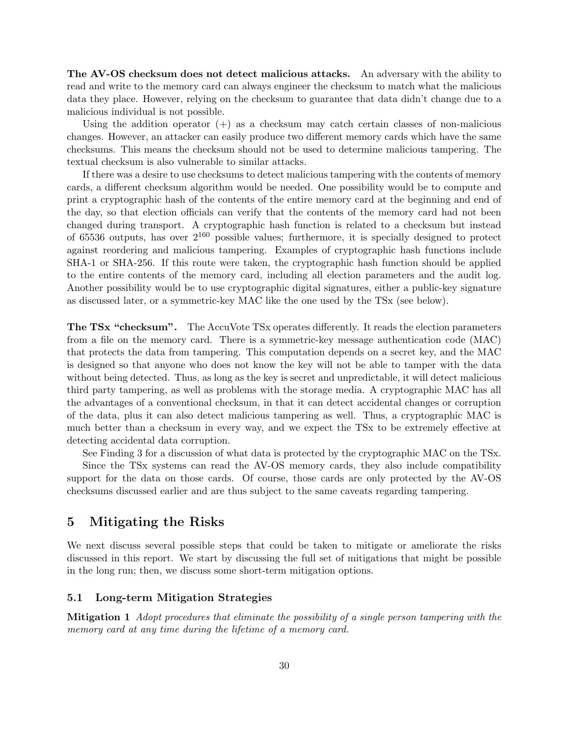The AV-OS checksum does not detect malicious attacks. An adversary with the ability to read and write to the memory card can always engineer the checksum to match what the malicious data they place. However, relying on the checksum to guarantee that data didn't change due to a malicious individual is not possible.

Using the addition operator  $(+)$  as a checksum may catch certain classes of non-malicious changes. However, an attacker can easily produce two different memory cards which have the same checksums. This means the checksum should not be used to determine malicious tampering. The textual checksum is also vulnerable to similar attacks.

If there was a desire to use checksums to detect malicious tampering with the contents of memory cards, a different checksum algorithm would be needed. One possibility would be to compute and print a cryptographic hash of the contents of the entire memory card at the beginning and end of the day, so that election officials can verify that the contents of the memory card had not been changed during transport. A cryptographic hash function is related to a checksum but instead of 65536 outputs, has over  $2^{160}$  possible values; furthermore, it is specially designed to protect against reordering and malicious tampering. Examples of cryptographic hash functions include SHA-1 or SHA-256. If this route were taken, the cryptographic hash function should be applied to the entire contents of the memory card, including all election parameters and the audit log. Another possibility would be to use cryptographic digital signatures, either a public-key signature as discussed later, or a symmetric-key MAC like the one used by the TSx (see below).

The TSx "checksum". The AccuVote TSx operates differently. It reads the election parameters from a file on the memory card. There is a symmetric-key message authentication code (MAC) that protects the data from tampering. This computation depends on a secret key, and the MAC is designed so that anyone who does not know the key will not be able to tamper with the data without being detected. Thus, as long as the key is secret and unpredictable, it will detect malicious third party tampering, as well as problems with the storage media. A cryptographic MAC has all the advantages of a conventional checksum, in that it can detect accidental changes or corruption of the data, plus it can also detect malicious tampering as well. Thus, a cryptographic MAC is much better than a checksum in every way, and we expect the TSx to be extremely effective at detecting accidental data corruption.

See Finding 3 for a discussion of what data is protected by the cryptographic MAC on the TSx.

Since the TSx systems can read the AV-OS memory cards, they also include compatibility support for the data on those cards. Of course, those cards are only protected by the AV-OS checksums discussed earlier and are thus subject to the same caveats regarding tampering.

## 5 Mitigating the Risks

We next discuss several possible steps that could be taken to mitigate or ameliorate the risks discussed in this report. We start by discussing the full set of mitigations that might be possible in the long run; then, we discuss some short-term mitigation options.

## 5.1 Long-term Mitigation Strategies

Mitigation 1 Adopt procedures that eliminate the possibility of a single person tampering with the memory card at any time during the lifetime of a memory card.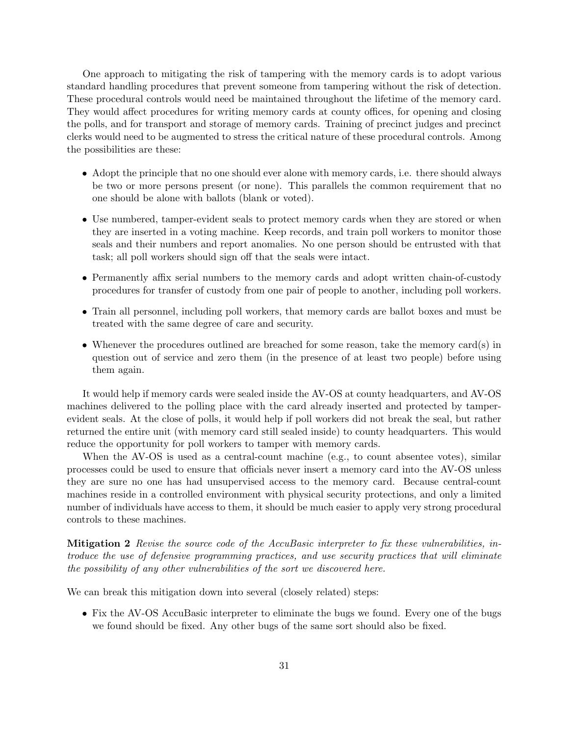One approach to mitigating the risk of tampering with the memory cards is to adopt various standard handling procedures that prevent someone from tampering without the risk of detection. These procedural controls would need be maintained throughout the lifetime of the memory card. They would affect procedures for writing memory cards at county offices, for opening and closing the polls, and for transport and storage of memory cards. Training of precinct judges and precinct clerks would need to be augmented to stress the critical nature of these procedural controls. Among the possibilities are these:

- Adopt the principle that no one should ever alone with memory cards, i.e. there should always be two or more persons present (or none). This parallels the common requirement that no one should be alone with ballots (blank or voted).
- Use numbered, tamper-evident seals to protect memory cards when they are stored or when they are inserted in a voting machine. Keep records, and train poll workers to monitor those seals and their numbers and report anomalies. No one person should be entrusted with that task; all poll workers should sign off that the seals were intact.
- Permanently affix serial numbers to the memory cards and adopt written chain-of-custody procedures for transfer of custody from one pair of people to another, including poll workers.
- Train all personnel, including poll workers, that memory cards are ballot boxes and must be treated with the same degree of care and security.
- Whenever the procedures outlined are breached for some reason, take the memory card(s) in question out of service and zero them (in the presence of at least two people) before using them again.

It would help if memory cards were sealed inside the AV-OS at county headquarters, and AV-OS machines delivered to the polling place with the card already inserted and protected by tamperevident seals. At the close of polls, it would help if poll workers did not break the seal, but rather returned the entire unit (with memory card still sealed inside) to county headquarters. This would reduce the opportunity for poll workers to tamper with memory cards.

When the AV-OS is used as a central-count machine (e.g., to count absentee votes), similar processes could be used to ensure that officials never insert a memory card into the AV-OS unless they are sure no one has had unsupervised access to the memory card. Because central-count machines reside in a controlled environment with physical security protections, and only a limited number of individuals have access to them, it should be much easier to apply very strong procedural controls to these machines.

Mitigation 2 Revise the source code of the AccuBasic interpreter to fix these vulnerabilities, introduce the use of defensive programming practices, and use security practices that will eliminate the possibility of any other vulnerabilities of the sort we discovered here.

We can break this mitigation down into several (closely related) steps:

• Fix the AV-OS AccuBasic interpreter to eliminate the bugs we found. Every one of the bugs we found should be fixed. Any other bugs of the same sort should also be fixed.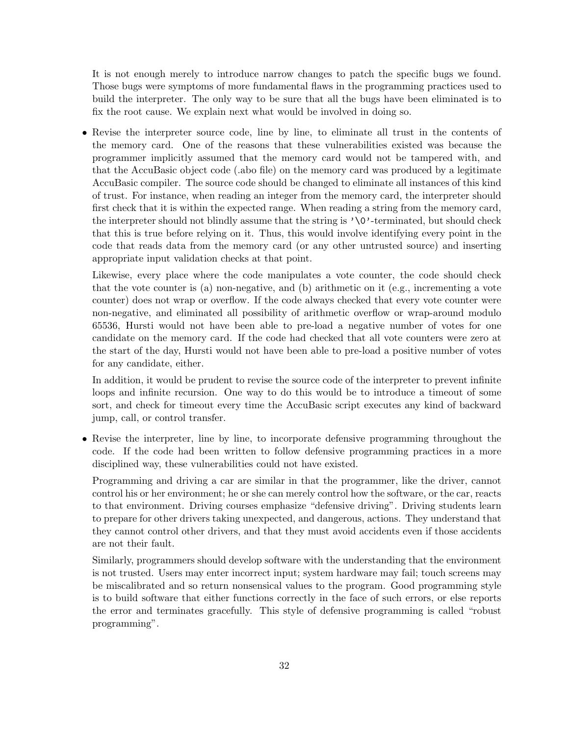It is not enough merely to introduce narrow changes to patch the specific bugs we found. Those bugs were symptoms of more fundamental flaws in the programming practices used to build the interpreter. The only way to be sure that all the bugs have been eliminated is to fix the root cause. We explain next what would be involved in doing so.

• Revise the interpreter source code, line by line, to eliminate all trust in the contents of the memory card. One of the reasons that these vulnerabilities existed was because the programmer implicitly assumed that the memory card would not be tampered with, and that the AccuBasic object code (.abo file) on the memory card was produced by a legitimate AccuBasic compiler. The source code should be changed to eliminate all instances of this kind of trust. For instance, when reading an integer from the memory card, the interpreter should first check that it is within the expected range. When reading a string from the memory card, the interpreter should not blindly assume that the string is  $\sqrt{Q'}$ -terminated, but should check that this is true before relying on it. Thus, this would involve identifying every point in the code that reads data from the memory card (or any other untrusted source) and inserting appropriate input validation checks at that point.

Likewise, every place where the code manipulates a vote counter, the code should check that the vote counter is (a) non-negative, and (b) arithmetic on it (e.g., incrementing a vote counter) does not wrap or overflow. If the code always checked that every vote counter were non-negative, and eliminated all possibility of arithmetic overflow or wrap-around modulo 65536, Hursti would not have been able to pre-load a negative number of votes for one candidate on the memory card. If the code had checked that all vote counters were zero at the start of the day, Hursti would not have been able to pre-load a positive number of votes for any candidate, either.

In addition, it would be prudent to revise the source code of the interpreter to prevent infinite loops and infinite recursion. One way to do this would be to introduce a timeout of some sort, and check for timeout every time the AccuBasic script executes any kind of backward jump, call, or control transfer.

• Revise the interpreter, line by line, to incorporate defensive programming throughout the code. If the code had been written to follow defensive programming practices in a more disciplined way, these vulnerabilities could not have existed.

Programming and driving a car are similar in that the programmer, like the driver, cannot control his or her environment; he or she can merely control how the software, or the car, reacts to that environment. Driving courses emphasize "defensive driving". Driving students learn to prepare for other drivers taking unexpected, and dangerous, actions. They understand that they cannot control other drivers, and that they must avoid accidents even if those accidents are not their fault.

Similarly, programmers should develop software with the understanding that the environment is not trusted. Users may enter incorrect input; system hardware may fail; touch screens may be miscalibrated and so return nonsensical values to the program. Good programming style is to build software that either functions correctly in the face of such errors, or else reports the error and terminates gracefully. This style of defensive programming is called "robust programming".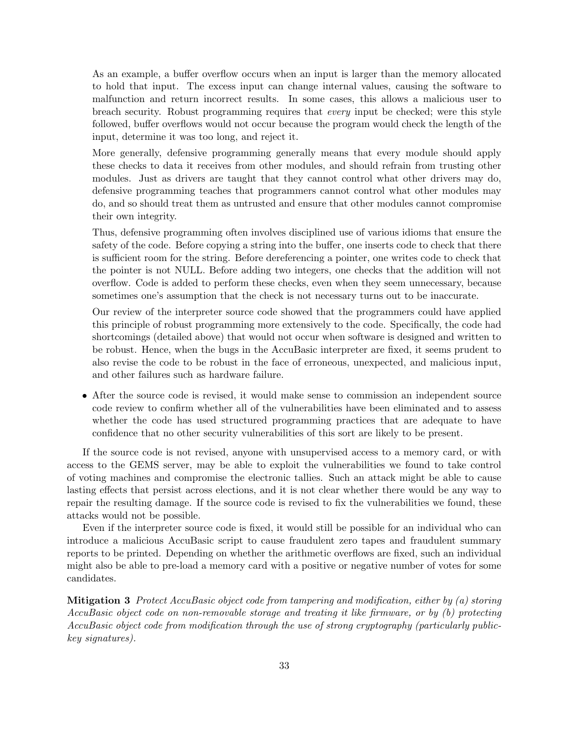As an example, a buffer overflow occurs when an input is larger than the memory allocated to hold that input. The excess input can change internal values, causing the software to malfunction and return incorrect results. In some cases, this allows a malicious user to breach security. Robust programming requires that every input be checked; were this style followed, buffer overflows would not occur because the program would check the length of the input, determine it was too long, and reject it.

More generally, defensive programming generally means that every module should apply these checks to data it receives from other modules, and should refrain from trusting other modules. Just as drivers are taught that they cannot control what other drivers may do, defensive programming teaches that programmers cannot control what other modules may do, and so should treat them as untrusted and ensure that other modules cannot compromise their own integrity.

Thus, defensive programming often involves disciplined use of various idioms that ensure the safety of the code. Before copying a string into the buffer, one inserts code to check that there is sufficient room for the string. Before dereferencing a pointer, one writes code to check that the pointer is not NULL. Before adding two integers, one checks that the addition will not overflow. Code is added to perform these checks, even when they seem unnecessary, because sometimes one's assumption that the check is not necessary turns out to be inaccurate.

Our review of the interpreter source code showed that the programmers could have applied this principle of robust programming more extensively to the code. Specifically, the code had shortcomings (detailed above) that would not occur when software is designed and written to be robust. Hence, when the bugs in the AccuBasic interpreter are fixed, it seems prudent to also revise the code to be robust in the face of erroneous, unexpected, and malicious input, and other failures such as hardware failure.

• After the source code is revised, it would make sense to commission an independent source code review to confirm whether all of the vulnerabilities have been eliminated and to assess whether the code has used structured programming practices that are adequate to have confidence that no other security vulnerabilities of this sort are likely to be present.

If the source code is not revised, anyone with unsupervised access to a memory card, or with access to the GEMS server, may be able to exploit the vulnerabilities we found to take control of voting machines and compromise the electronic tallies. Such an attack might be able to cause lasting effects that persist across elections, and it is not clear whether there would be any way to repair the resulting damage. If the source code is revised to fix the vulnerabilities we found, these attacks would not be possible.

Even if the interpreter source code is fixed, it would still be possible for an individual who can introduce a malicious AccuBasic script to cause fraudulent zero tapes and fraudulent summary reports to be printed. Depending on whether the arithmetic overflows are fixed, such an individual might also be able to pre-load a memory card with a positive or negative number of votes for some candidates.

Mitigation 3 Protect AccuBasic object code from tampering and modification, either by (a) storing AccuBasic object code on non-removable storage and treating it like firmware, or by (b) protecting AccuBasic object code from modification through the use of strong cryptography (particularly publickey signatures).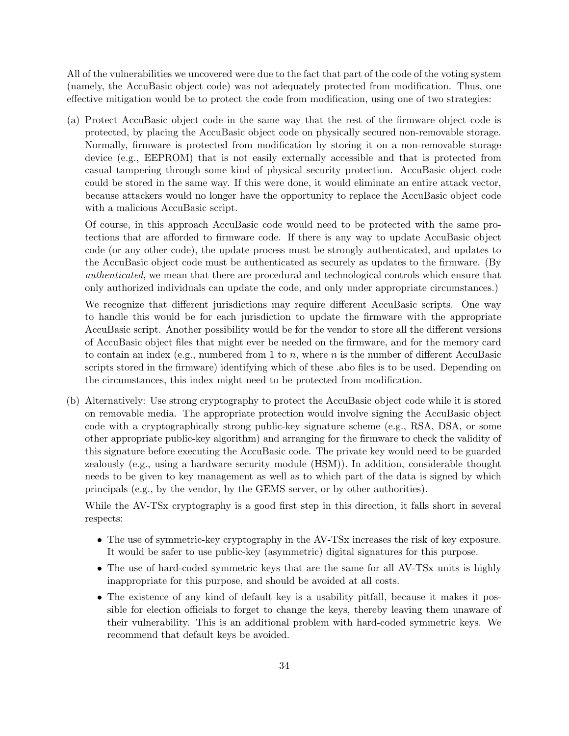All of the vulnerabilities we uncovered were due to the fact that part of the code of the voting system (namely, the AccuBasic object code) was not adequately protected from modification. Thus, one effective mitigation would be to protect the code from modification, using one of two strategies:

(a) Protect AccuBasic object code in the same way that the rest of the firmware object code is protected, by placing the AccuBasic object code on physically secured non-removable storage. Normally, firmware is protected from modification by storing it on a non-removable storage device (e.g., EEPROM) that is not easily externally accessible and that is protected from casual tampering through some kind of physical security protection. AccuBasic object code could be stored in the same way. If this were done, it would eliminate an entire attack vector, because attackers would no longer have the opportunity to replace the AccuBasic object code with a malicious AccuBasic script.

Of course, in this approach AccuBasic code would need to be protected with the same protections that are afforded to firmware code. If there is any way to update AccuBasic object code (or any other code), the update process must be strongly authenticated, and updates to the AccuBasic object code must be authenticated as securely as updates to the firmware. (By authenticated, we mean that there are procedural and technological controls which ensure that only authorized individuals can update the code, and only under appropriate circumstances.)

We recognize that different jurisdictions may require different AccuBasic scripts. One way to handle this would be for each jurisdiction to update the firmware with the appropriate AccuBasic script. Another possibility would be for the vendor to store all the different versions of AccuBasic object files that might ever be needed on the firmware, and for the memory card to contain an index (e.g., numbered from 1 to n, where n is the number of different AccuBasic scripts stored in the firmware) identifying which of these .abo files is to be used. Depending on the circumstances, this index might need to be protected from modification.

(b) Alternatively: Use strong cryptography to protect the AccuBasic object code while it is stored on removable media. The appropriate protection would involve signing the AccuBasic object code with a cryptographically strong public-key signature scheme (e.g., RSA, DSA, or some other appropriate public-key algorithm) and arranging for the firmware to check the validity of this signature before executing the AccuBasic code. The private key would need to be guarded zealously (e.g., using a hardware security module (HSM)). In addition, considerable thought needs to be given to key management as well as to which part of the data is signed by which principals (e.g., by the vendor, by the GEMS server, or by other authorities).

While the AV-TSx cryptography is a good first step in this direction, it falls short in several respects:

- The use of symmetric-key cryptography in the AV-TSx increases the risk of key exposure. It would be safer to use public-key (asymmetric) digital signatures for this purpose.
- The use of hard-coded symmetric keys that are the same for all AV-TSx units is highly inappropriate for this purpose, and should be avoided at all costs.
- The existence of any kind of default key is a usability pitfall, because it makes it possible for election officials to forget to change the keys, thereby leaving them unaware of their vulnerability. This is an additional problem with hard-coded symmetric keys. We recommend that default keys be avoided.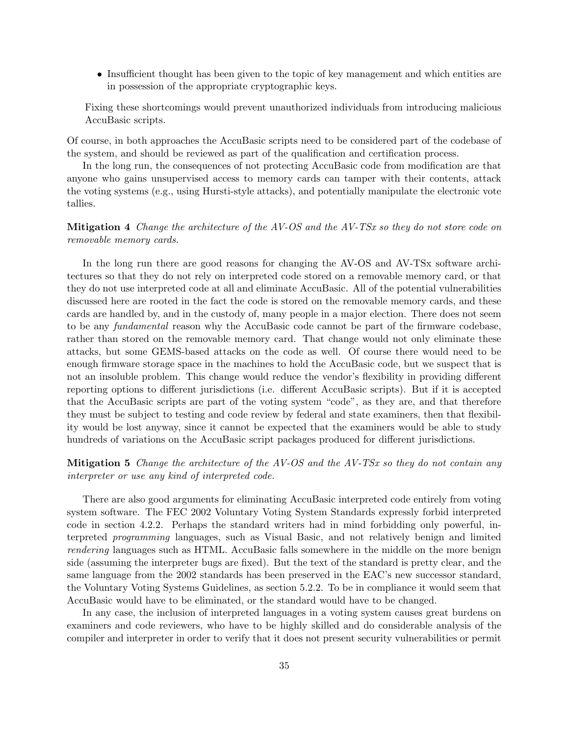• Insufficient thought has been given to the topic of key management and which entities are in possession of the appropriate cryptographic keys.

Fixing these shortcomings would prevent unauthorized individuals from introducing malicious AccuBasic scripts.

Of course, in both approaches the AccuBasic scripts need to be considered part of the codebase of the system, and should be reviewed as part of the qualification and certification process.

In the long run, the consequences of not protecting AccuBasic code from modification are that anyone who gains unsupervised access to memory cards can tamper with their contents, attack the voting systems (e.g., using Hursti-style attacks), and potentially manipulate the electronic vote tallies.

Mitigation 4 Change the architecture of the AV-OS and the AV-TSx so they do not store code on removable memory cards.

In the long run there are good reasons for changing the AV-OS and AV-TSx software architectures so that they do not rely on interpreted code stored on a removable memory card, or that they do not use interpreted code at all and eliminate AccuBasic. All of the potential vulnerabilities discussed here are rooted in the fact the code is stored on the removable memory cards, and these cards are handled by, and in the custody of, many people in a major election. There does not seem to be any fundamental reason why the AccuBasic code cannot be part of the firmware codebase, rather than stored on the removable memory card. That change would not only eliminate these attacks, but some GEMS-based attacks on the code as well. Of course there would need to be enough firmware storage space in the machines to hold the AccuBasic code, but we suspect that is not an insoluble problem. This change would reduce the vendor's flexibility in providing different reporting options to different jurisdictions (i.e. different AccuBasic scripts). But if it is accepted that the AccuBasic scripts are part of the voting system "code", as they are, and that therefore they must be subject to testing and code review by federal and state examiners, then that flexibility would be lost anyway, since it cannot be expected that the examiners would be able to study hundreds of variations on the AccuBasic script packages produced for different jurisdictions.

## **Mitigation 5** Change the architecture of the AV-OS and the AV-TSx so they do not contain any interpreter or use any kind of interpreted code.

There are also good arguments for eliminating AccuBasic interpreted code entirely from voting system software. The FEC 2002 Voluntary Voting System Standards expressly forbid interpreted code in section 4.2.2. Perhaps the standard writers had in mind forbidding only powerful, interpreted programming languages, such as Visual Basic, and not relatively benign and limited rendering languages such as HTML. AccuBasic falls somewhere in the middle on the more benign side (assuming the interpreter bugs are fixed). But the text of the standard is pretty clear, and the same language from the 2002 standards has been preserved in the EAC's new successor standard, the Voluntary Voting Systems Guidelines, as section 5.2.2. To be in compliance it would seem that AccuBasic would have to be eliminated, or the standard would have to be changed.

In any case, the inclusion of interpreted languages in a voting system causes great burdens on examiners and code reviewers, who have to be highly skilled and do considerable analysis of the compiler and interpreter in order to verify that it does not present security vulnerabilities or permit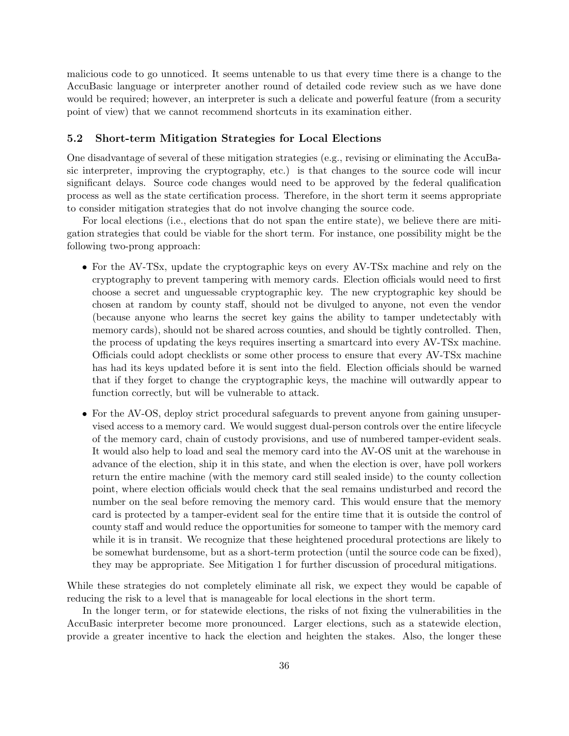malicious code to go unnoticed. It seems untenable to us that every time there is a change to the AccuBasic language or interpreter another round of detailed code review such as we have done would be required; however, an interpreter is such a delicate and powerful feature (from a security point of view) that we cannot recommend shortcuts in its examination either.

#### 5.2 Short-term Mitigation Strategies for Local Elections

One disadvantage of several of these mitigation strategies (e.g., revising or eliminating the AccuBasic interpreter, improving the cryptography, etc.) is that changes to the source code will incur significant delays. Source code changes would need to be approved by the federal qualification process as well as the state certification process. Therefore, in the short term it seems appropriate to consider mitigation strategies that do not involve changing the source code.

For local elections (i.e., elections that do not span the entire state), we believe there are mitigation strategies that could be viable for the short term. For instance, one possibility might be the following two-prong approach:

- For the AV-TSx, update the cryptographic keys on every AV-TSx machine and rely on the cryptography to prevent tampering with memory cards. Election officials would need to first choose a secret and unguessable cryptographic key. The new cryptographic key should be chosen at random by county staff, should not be divulged to anyone, not even the vendor (because anyone who learns the secret key gains the ability to tamper undetectably with memory cards), should not be shared across counties, and should be tightly controlled. Then, the process of updating the keys requires inserting a smartcard into every AV-TSx machine. Officials could adopt checklists or some other process to ensure that every AV-TSx machine has had its keys updated before it is sent into the field. Election officials should be warned that if they forget to change the cryptographic keys, the machine will outwardly appear to function correctly, but will be vulnerable to attack.
- For the AV-OS, deploy strict procedural safeguards to prevent anyone from gaining unsupervised access to a memory card. We would suggest dual-person controls over the entire lifecycle of the memory card, chain of custody provisions, and use of numbered tamper-evident seals. It would also help to load and seal the memory card into the AV-OS unit at the warehouse in advance of the election, ship it in this state, and when the election is over, have poll workers return the entire machine (with the memory card still sealed inside) to the county collection point, where election officials would check that the seal remains undisturbed and record the number on the seal before removing the memory card. This would ensure that the memory card is protected by a tamper-evident seal for the entire time that it is outside the control of county staff and would reduce the opportunities for someone to tamper with the memory card while it is in transit. We recognize that these heightened procedural protections are likely to be somewhat burdensome, but as a short-term protection (until the source code can be fixed), they may be appropriate. See Mitigation 1 for further discussion of procedural mitigations.

While these strategies do not completely eliminate all risk, we expect they would be capable of reducing the risk to a level that is manageable for local elections in the short term.

In the longer term, or for statewide elections, the risks of not fixing the vulnerabilities in the AccuBasic interpreter become more pronounced. Larger elections, such as a statewide election, provide a greater incentive to hack the election and heighten the stakes. Also, the longer these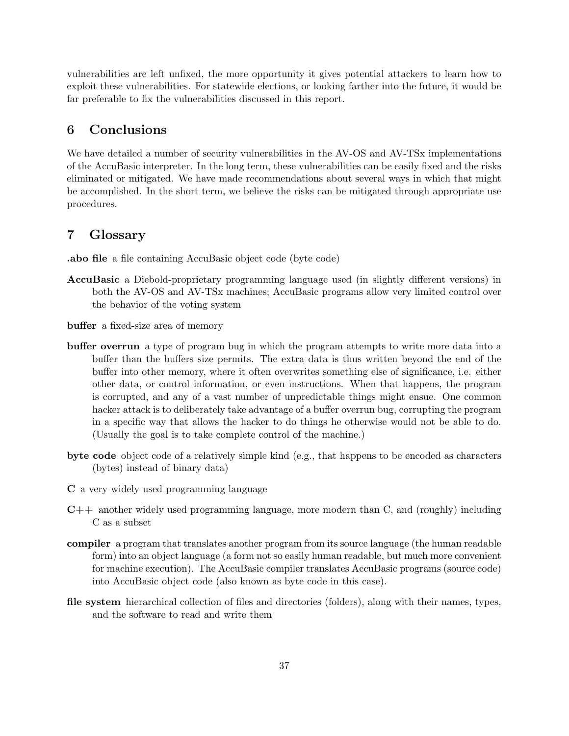vulnerabilities are left unfixed, the more opportunity it gives potential attackers to learn how to exploit these vulnerabilities. For statewide elections, or looking farther into the future, it would be far preferable to fix the vulnerabilities discussed in this report.

# 6 Conclusions

We have detailed a number of security vulnerabilities in the AV-OS and AV-TSx implementations of the AccuBasic interpreter. In the long term, these vulnerabilities can be easily fixed and the risks eliminated or mitigated. We have made recommendations about several ways in which that might be accomplished. In the short term, we believe the risks can be mitigated through appropriate use procedures.

## 7 Glossary

.abo file a file containing AccuBasic object code (byte code)

- AccuBasic a Diebold-proprietary programming language used (in slightly different versions) in both the AV-OS and AV-TSx machines; AccuBasic programs allow very limited control over the behavior of the voting system
- buffer a fixed-size area of memory
- buffer overrun a type of program bug in which the program attempts to write more data into a buffer than the buffers size permits. The extra data is thus written beyond the end of the buffer into other memory, where it often overwrites something else of significance, i.e. either other data, or control information, or even instructions. When that happens, the program is corrupted, and any of a vast number of unpredictable things might ensue. One common hacker attack is to deliberately take advantage of a buffer overrun bug, corrupting the program in a specific way that allows the hacker to do things he otherwise would not be able to do. (Usually the goal is to take complete control of the machine.)
- byte code object code of a relatively simple kind (e.g., that happens to be encoded as characters (bytes) instead of binary data)
- C a very widely used programming language
- $C++$  another widely used programming language, more modern than C, and (roughly) including C as a subset
- compiler a program that translates another program from its source language (the human readable form) into an object language (a form not so easily human readable, but much more convenient for machine execution). The AccuBasic compiler translates AccuBasic programs (source code) into AccuBasic object code (also known as byte code in this case).
- file system hierarchical collection of files and directories (folders), along with their names, types, and the software to read and write them